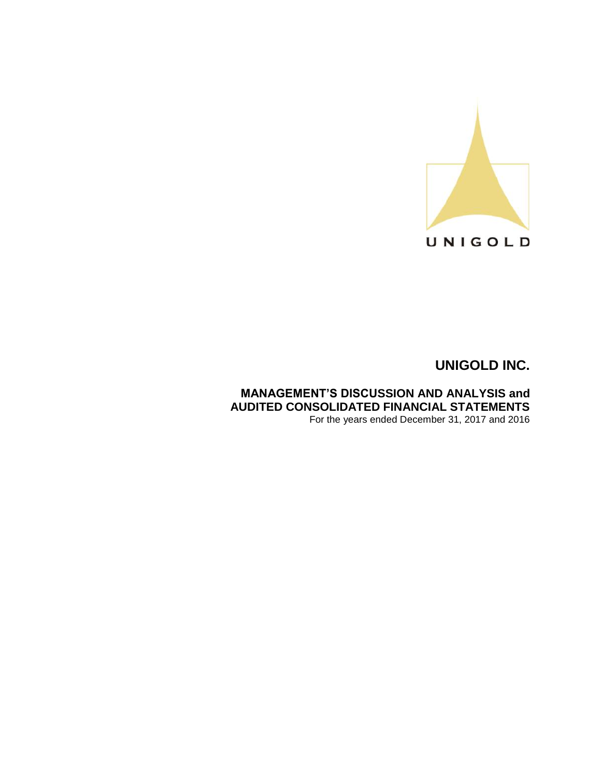

<span id="page-0-1"></span><span id="page-0-0"></span>**MANAGEMENT'S DISCUSSION AND ANALYSIS and AUDITED CONSOLIDATED FINANCIAL STATEMENTS** For the years ended December 31, 2017 and 2016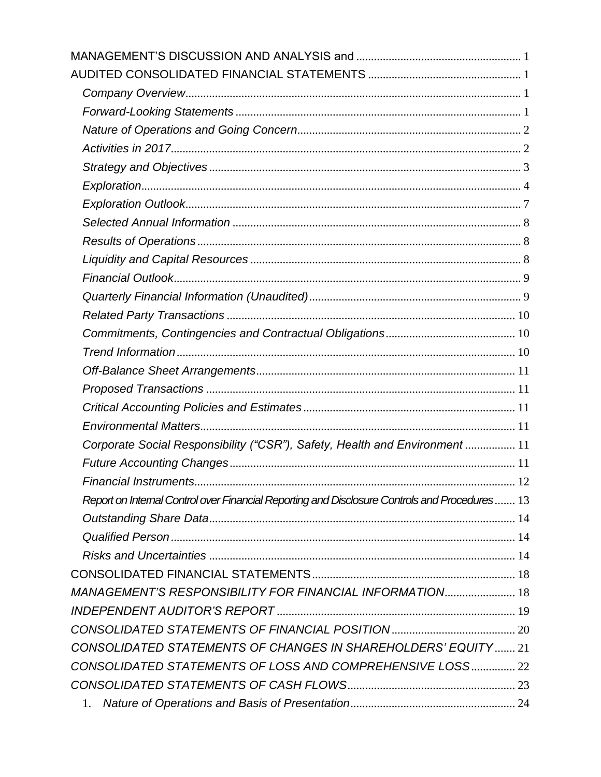| Corporate Social Responsibility ("CSR"), Safety, Health and Environment  11                   |  |
|-----------------------------------------------------------------------------------------------|--|
|                                                                                               |  |
|                                                                                               |  |
| Report on Internal Control over Financial Reporting and Disclosure Controls and Procedures 13 |  |
|                                                                                               |  |
|                                                                                               |  |
|                                                                                               |  |
|                                                                                               |  |
| MANAGEMENT'S RESPONSIBILITY FOR FINANCIAL INFORMATION 18                                      |  |
|                                                                                               |  |
|                                                                                               |  |
| CONSOLIDATED STATEMENTS OF CHANGES IN SHAREHOLDERS' EQUITY  21                                |  |
| CONSOLIDATED STATEMENTS OF LOSS AND COMPREHENSIVE LOSS 22                                     |  |
|                                                                                               |  |
| 1.                                                                                            |  |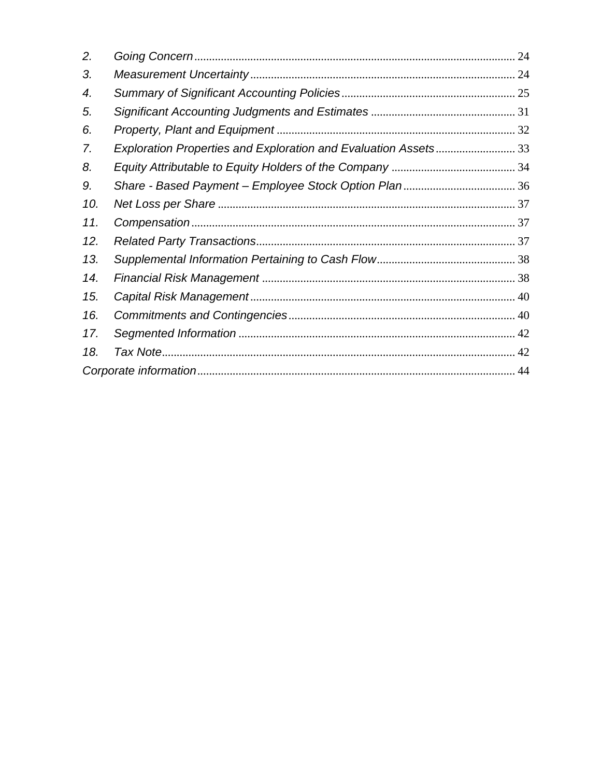| 2.  |                                                                |  |
|-----|----------------------------------------------------------------|--|
| 3.  |                                                                |  |
| 4.  |                                                                |  |
| 5.  |                                                                |  |
| 6.  |                                                                |  |
| 7.  | Exploration Properties and Exploration and Evaluation Assets33 |  |
| 8.  |                                                                |  |
| 9.  |                                                                |  |
| 10. |                                                                |  |
| 11. |                                                                |  |
| 12. |                                                                |  |
| 13. |                                                                |  |
| 14. |                                                                |  |
| 15. |                                                                |  |
| 16. |                                                                |  |
| 17. |                                                                |  |
| 18. |                                                                |  |
|     |                                                                |  |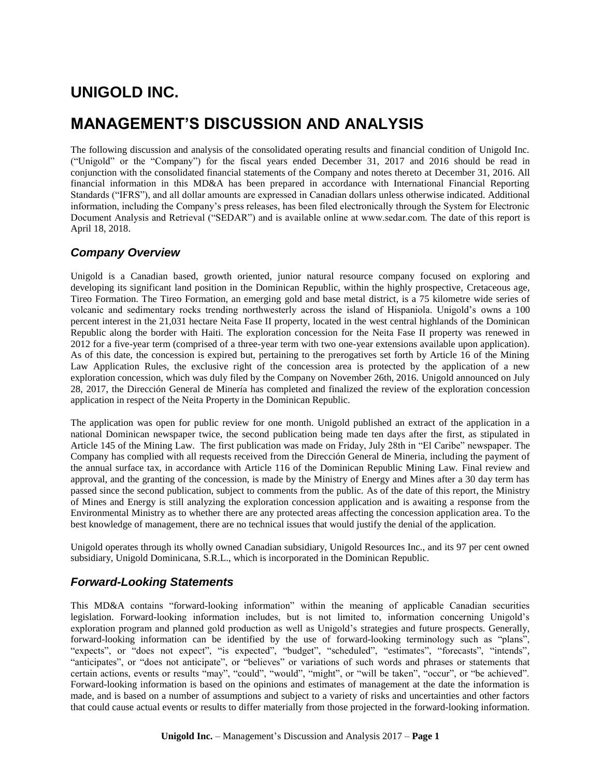# **MANAGEMENT'S DISCUSSION AND ANALYSIS**

The following discussion and analysis of the consolidated operating results and financial condition of Unigold Inc. ("Unigold" or the "Company") for the fiscal years ended December 31, 2017 and 2016 should be read in conjunction with the consolidated financial statements of the Company and notes thereto at December 31, 2016. All financial information in this MD&A has been prepared in accordance with International Financial Reporting Standards ("IFRS"), and all dollar amounts are expressed in Canadian dollars unless otherwise indicated. Additional information, including the Company's press releases, has been filed electronically through the System for Electronic Document Analysis and Retrieval ("SEDAR") and is available online at www.sedar.com. The date of this report is April 18, 2018.

# <span id="page-3-0"></span>*Company Overview*

Unigold is a Canadian based, growth oriented, junior natural resource company focused on exploring and developing its significant land position in the Dominican Republic, within the highly prospective, Cretaceous age, Tireo Formation. The Tireo Formation, an emerging gold and base metal district, is a 75 kilometre wide series of volcanic and sedimentary rocks trending northwesterly across the island of Hispaniola. Unigold's owns a 100 percent interest in the 21,031 hectare Neita Fase II property, located in the west central highlands of the Dominican Republic along the border with Haiti. The exploration concession for the Neita Fase II property was renewed in 2012 for a five-year term (comprised of a three-year term with two one-year extensions available upon application). As of this date, the concession is expired but, pertaining to the prerogatives set forth by Article 16 of the Mining Law Application Rules, the exclusive right of the concession area is protected by the application of a new exploration concession, which was duly filed by the Company on November 26th, 2016. Unigold announced on July 28, 2017, the Dirección General de Minería has completed and finalized the review of the exploration concession application in respect of the Neita Property in the Dominican Republic.

The application was open for public review for one month. Unigold published an extract of the application in a national Dominican newspaper twice, the second publication being made ten days after the first, as stipulated in Article 145 of the Mining Law. The first publication was made on Friday, July 28th in "El Caribe" newspaper. The Company has complied with all requests received from the Dirección General de Mineria, including the payment of the annual surface tax, in accordance with Article 116 of the Dominican Republic Mining Law. Final review and approval, and the granting of the concession, is made by the Ministry of Energy and Mines after a 30 day term has passed since the second publication, subject to comments from the public. As of the date of this report, the Ministry of Mines and Energy is still analyzing the exploration concession application and is awaiting a response from the Environmental Ministry as to whether there are any protected areas affecting the concession application area. To the best knowledge of management, there are no technical issues that would justify the denial of the application.

Unigold operates through its wholly owned Canadian subsidiary, Unigold Resources Inc., and its 97 per cent owned subsidiary, Unigold Dominicana, S.R.L., which is incorporated in the Dominican Republic.

# <span id="page-3-1"></span>*Forward-Looking Statements*

This MD&A contains "forward-looking information" within the meaning of applicable Canadian securities legislation. Forward-looking information includes, but is not limited to, information concerning Unigold's exploration program and planned gold production as well as Unigold's strategies and future prospects. Generally, forward-looking information can be identified by the use of forward-looking terminology such as "plans", "expects", or "does not expect", "is expected", "budget", "scheduled", "estimates", "forecasts", "intends", "anticipates", or "does not anticipate", or "believes" or variations of such words and phrases or statements that certain actions, events or results "may", "could", "would", "might", or "will be taken", "occur", or "be achieved". Forward-looking information is based on the opinions and estimates of management at the date the information is made, and is based on a number of assumptions and subject to a variety of risks and uncertainties and other factors that could cause actual events or results to differ materially from those projected in the forward-looking information.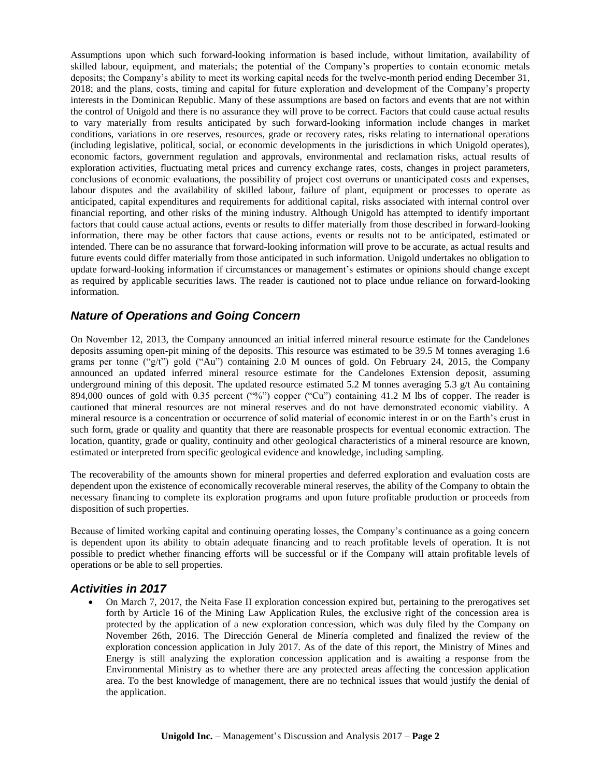Assumptions upon which such forward-looking information is based include, without limitation, availability of skilled labour, equipment, and materials; the potential of the Company's properties to contain economic metals deposits; the Company's ability to meet its working capital needs for the twelve-month period ending December 31, 2018; and the plans, costs, timing and capital for future exploration and development of the Company's property interests in the Dominican Republic. Many of these assumptions are based on factors and events that are not within the control of Unigold and there is no assurance they will prove to be correct. Factors that could cause actual results to vary materially from results anticipated by such forward-looking information include changes in market conditions, variations in ore reserves, resources, grade or recovery rates, risks relating to international operations (including legislative, political, social, or economic developments in the jurisdictions in which Unigold operates), economic factors, government regulation and approvals, environmental and reclamation risks, actual results of exploration activities, fluctuating metal prices and currency exchange rates, costs, changes in project parameters, conclusions of economic evaluations, the possibility of project cost overruns or unanticipated costs and expenses, labour disputes and the availability of skilled labour, failure of plant, equipment or processes to operate as anticipated, capital expenditures and requirements for additional capital, risks associated with internal control over financial reporting, and other risks of the mining industry. Although Unigold has attempted to identify important factors that could cause actual actions, events or results to differ materially from those described in forward-looking information, there may be other factors that cause actions, events or results not to be anticipated, estimated or intended. There can be no assurance that forward-looking information will prove to be accurate, as actual results and future events could differ materially from those anticipated in such information. Unigold undertakes no obligation to update forward-looking information if circumstances or management's estimates or opinions should change except as required by applicable securities laws. The reader is cautioned not to place undue reliance on forward-looking information.

# <span id="page-4-0"></span>*Nature of Operations and Going Concern*

On November 12, 2013, the Company announced an initial inferred mineral resource estimate for the Candelones deposits assuming open-pit mining of the deposits. This resource was estimated to be 39.5 M tonnes averaging 1.6 grams per tonne ("g/t") gold ("Au") containing 2.0 M ounces of gold. On February 24, 2015, the Company announced an updated inferred mineral resource estimate for the Candelones Extension deposit, assuming underground mining of this deposit. The updated resource estimated 5.2 M tonnes averaging 5.3 g/t Au containing 894,000 ounces of gold with 0.35 percent ("%") copper ("Cu") containing 41.2 M lbs of copper. The reader is cautioned that mineral resources are not mineral reserves and do not have demonstrated economic viability. A mineral resource is a concentration or occurrence of solid material of economic interest in or on the Earth's crust in such form, grade or quality and quantity that there are reasonable prospects for eventual economic extraction. The location, quantity, grade or quality, continuity and other geological characteristics of a mineral resource are known, estimated or interpreted from specific geological evidence and knowledge, including sampling.

The recoverability of the amounts shown for mineral properties and deferred exploration and evaluation costs are dependent upon the existence of economically recoverable mineral reserves, the ability of the Company to obtain the necessary financing to complete its exploration programs and upon future profitable production or proceeds from disposition of such properties.

Because of limited working capital and continuing operating losses, the Company's continuance as a going concern is dependent upon its ability to obtain adequate financing and to reach profitable levels of operation. It is not possible to predict whether financing efforts will be successful or if the Company will attain profitable levels of operations or be able to sell properties.

# <span id="page-4-1"></span>*Activities in 2017*

 On March 7, 2017, the Neita Fase II exploration concession expired but, pertaining to the prerogatives set forth by Article 16 of the Mining Law Application Rules, the exclusive right of the concession area is protected by the application of a new exploration concession, which was duly filed by the Company on November 26th, 2016. The Dirección General de Minería completed and finalized the review of the exploration concession application in July 2017. As of the date of this report, the Ministry of Mines and Energy is still analyzing the exploration concession application and is awaiting a response from the Environmental Ministry as to whether there are any protected areas affecting the concession application area. To the best knowledge of management, there are no technical issues that would justify the denial of the application.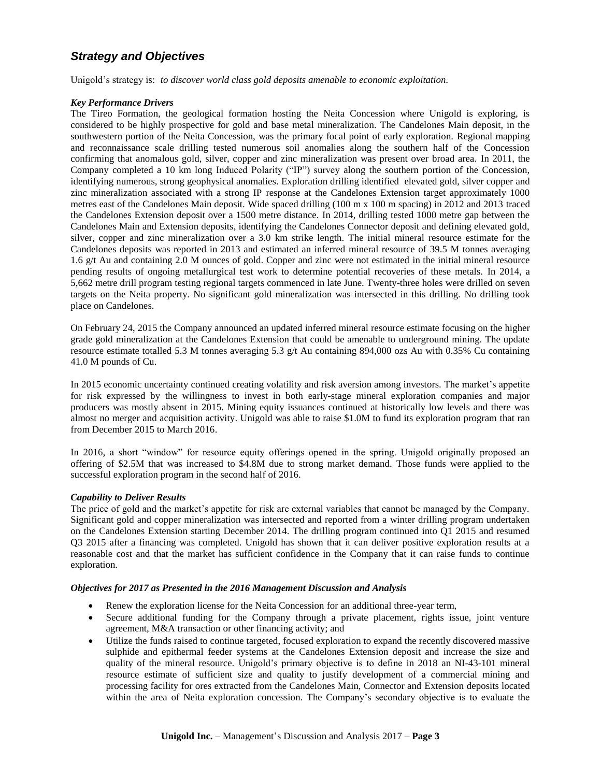# <span id="page-5-0"></span>*Strategy and Objectives*

Unigold's strategy is: *to discover world class gold deposits amenable to economic exploitation.*

### *Key Performance Drivers*

The Tireo Formation, the geological formation hosting the Neita Concession where Unigold is exploring, is considered to be highly prospective for gold and base metal mineralization. The Candelones Main deposit, in the southwestern portion of the Neita Concession, was the primary focal point of early exploration. Regional mapping and reconnaissance scale drilling tested numerous soil anomalies along the southern half of the Concession confirming that anomalous gold, silver, copper and zinc mineralization was present over broad area. In 2011, the Company completed a 10 km long Induced Polarity ("IP") survey along the southern portion of the Concession, identifying numerous, strong geophysical anomalies. Exploration drilling identified elevated gold, silver copper and zinc mineralization associated with a strong IP response at the Candelones Extension target approximately 1000 metres east of the Candelones Main deposit. Wide spaced drilling (100 m x 100 m spacing) in 2012 and 2013 traced the Candelones Extension deposit over a 1500 metre distance. In 2014, drilling tested 1000 metre gap between the Candelones Main and Extension deposits, identifying the Candelones Connector deposit and defining elevated gold, silver, copper and zinc mineralization over a 3.0 km strike length. The initial mineral resource estimate for the Candelones deposits was reported in 2013 and estimated an inferred mineral resource of 39.5 M tonnes averaging 1.6 g/t Au and containing 2.0 M ounces of gold. Copper and zinc were not estimated in the initial mineral resource pending results of ongoing metallurgical test work to determine potential recoveries of these metals. In 2014, a 5,662 metre drill program testing regional targets commenced in late June. Twenty-three holes were drilled on seven targets on the Neita property. No significant gold mineralization was intersected in this drilling. No drilling took place on Candelones.

On February 24, 2015 the Company announced an updated inferred mineral resource estimate focusing on the higher grade gold mineralization at the Candelones Extension that could be amenable to underground mining. The update resource estimate totalled 5.3 M tonnes averaging 5.3 g/t Au containing 894,000 ozs Au with 0.35% Cu containing 41.0 M pounds of Cu.

In 2015 economic uncertainty continued creating volatility and risk aversion among investors. The market's appetite for risk expressed by the willingness to invest in both early-stage mineral exploration companies and major producers was mostly absent in 2015. Mining equity issuances continued at historically low levels and there was almost no merger and acquisition activity. Unigold was able to raise \$1.0M to fund its exploration program that ran from December 2015 to March 2016.

In 2016, a short "window" for resource equity offerings opened in the spring. Unigold originally proposed an offering of \$2.5M that was increased to \$4.8M due to strong market demand. Those funds were applied to the successful exploration program in the second half of 2016.

#### *Capability to Deliver Results*

The price of gold and the market's appetite for risk are external variables that cannot be managed by the Company. Significant gold and copper mineralization was intersected and reported from a winter drilling program undertaken on the Candelones Extension starting December 2014. The drilling program continued into Q1 2015 and resumed Q3 2015 after a financing was completed. Unigold has shown that it can deliver positive exploration results at a reasonable cost and that the market has sufficient confidence in the Company that it can raise funds to continue exploration.

#### *Objectives for 2017 as Presented in the 2016 Management Discussion and Analysis*

- Renew the exploration license for the Neita Concession for an additional three-year term,
- Secure additional funding for the Company through a private placement, rights issue, joint venture agreement, M&A transaction or other financing activity; and
- Utilize the funds raised to continue targeted, focused exploration to expand the recently discovered massive sulphide and epithermal feeder systems at the Candelones Extension deposit and increase the size and quality of the mineral resource. Unigold's primary objective is to define in 2018 an NI-43-101 mineral resource estimate of sufficient size and quality to justify development of a commercial mining and processing facility for ores extracted from the Candelones Main, Connector and Extension deposits located within the area of Neita exploration concession. The Company's secondary objective is to evaluate the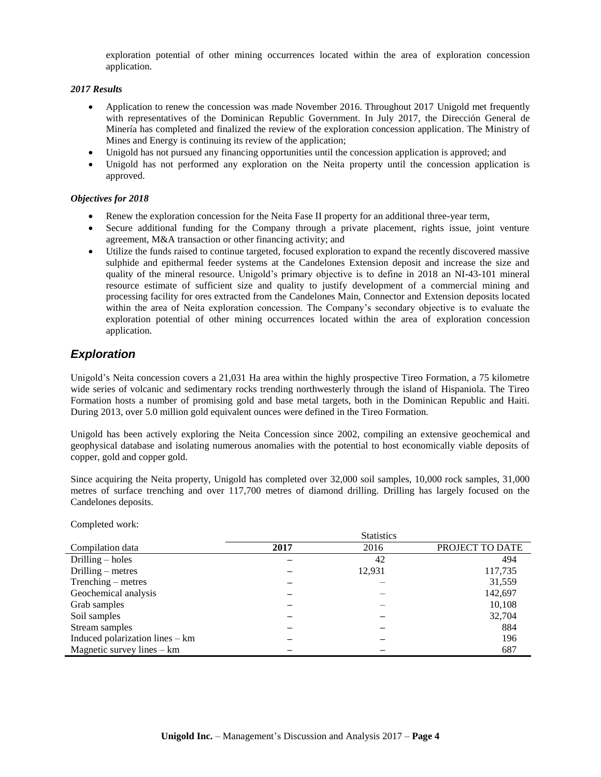exploration potential of other mining occurrences located within the area of exploration concession application.

### *2017 Results*

- Application to renew the concession was made November 2016. Throughout 2017 Unigold met frequently with representatives of the Dominican Republic Government. In July 2017, the Dirección General de Minería has completed and finalized the review of the exploration concession application. The Ministry of Mines and Energy is continuing its review of the application;
- Unigold has not pursued any financing opportunities until the concession application is approved; and
- Unigold has not performed any exploration on the Neita property until the concession application is approved.

#### *Objectives for 2018*

- Renew the exploration concession for the Neita Fase II property for an additional three-year term,
- Secure additional funding for the Company through a private placement, rights issue, joint venture agreement, M&A transaction or other financing activity; and
- Utilize the funds raised to continue targeted, focused exploration to expand the recently discovered massive sulphide and epithermal feeder systems at the Candelones Extension deposit and increase the size and quality of the mineral resource. Unigold's primary objective is to define in 2018 an NI-43-101 mineral resource estimate of sufficient size and quality to justify development of a commercial mining and processing facility for ores extracted from the Candelones Main, Connector and Extension deposits located within the area of Neita exploration concession. The Company's secondary objective is to evaluate the exploration potential of other mining occurrences located within the area of exploration concession application.

# <span id="page-6-0"></span>*Exploration*

Unigold's Neita concession covers a 21,031 Ha area within the highly prospective Tireo Formation, a 75 kilometre wide series of volcanic and sedimentary rocks trending northwesterly through the island of Hispaniola. The Tireo Formation hosts a number of promising gold and base metal targets, both in the Dominican Republic and Haiti. During 2013, over 5.0 million gold equivalent ounces were defined in the Tireo Formation.

Unigold has been actively exploring the Neita Concession since 2002, compiling an extensive geochemical and geophysical database and isolating numerous anomalies with the potential to host economically viable deposits of copper, gold and copper gold.

Since acquiring the Neita property, Unigold has completed over 32,000 soil samples, 10,000 rock samples, 31,000 metres of surface trenching and over 117,700 metres of diamond drilling. Drilling has largely focused on the Candelones deposits.

Completed work:

|                                 | <b>Statistics</b> |        |                 |  |  |  |  |
|---------------------------------|-------------------|--------|-----------------|--|--|--|--|
| Compilation data                | 2017              | 2016   | PROJECT TO DATE |  |  |  |  |
| Drilling $-$ holes              |                   | 42     | 494             |  |  |  |  |
| Drilling $-$ metres             |                   | 12,931 | 117,735         |  |  |  |  |
| $Trenching - metres$            |                   |        | 31,559          |  |  |  |  |
| Geochemical analysis            |                   |        | 142,697         |  |  |  |  |
| Grab samples                    |                   |        | 10,108          |  |  |  |  |
| Soil samples                    |                   |        | 32,704          |  |  |  |  |
| Stream samples                  |                   |        | 884             |  |  |  |  |
| Induced polarization lines – km |                   |        | 196             |  |  |  |  |
| Magnetic survey lines $-$ km    |                   |        | 687             |  |  |  |  |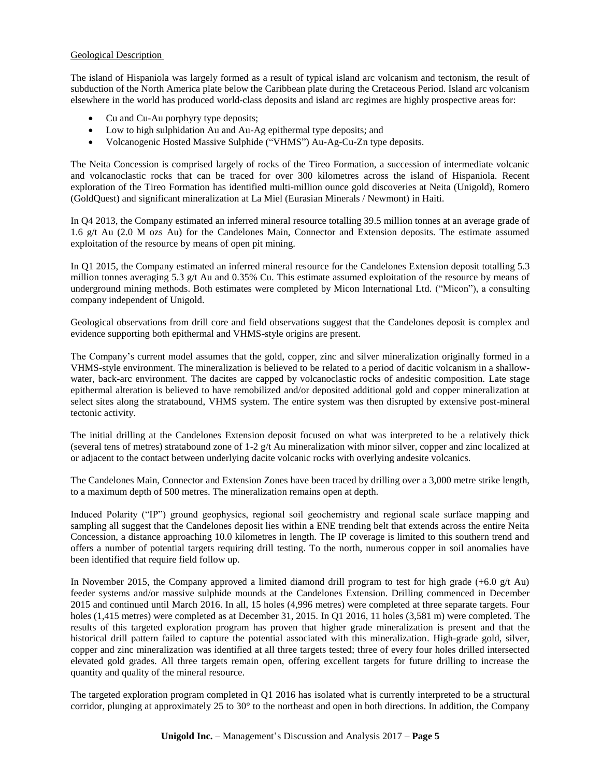### Geological Description

The island of Hispaniola was largely formed as a result of typical island arc volcanism and tectonism, the result of subduction of the North America plate below the Caribbean plate during the Cretaceous Period. Island arc volcanism elsewhere in the world has produced world-class deposits and island arc regimes are highly prospective areas for:

- Cu and Cu-Au porphyry type deposits;
- Low to high sulphidation Au and Au-Ag epithermal type deposits; and
- Volcanogenic Hosted Massive Sulphide ("VHMS") Au-Ag-Cu-Zn type deposits.

The Neita Concession is comprised largely of rocks of the Tireo Formation, a succession of intermediate volcanic and volcanoclastic rocks that can be traced for over 300 kilometres across the island of Hispaniola. Recent exploration of the Tireo Formation has identified multi-million ounce gold discoveries at Neita (Unigold), Romero (GoldQuest) and significant mineralization at La Miel (Eurasian Minerals / Newmont) in Haiti.

In Q4 2013, the Company estimated an inferred mineral resource totalling 39.5 million tonnes at an average grade of 1.6 g/t Au (2.0 M ozs Au) for the Candelones Main, Connector and Extension deposits. The estimate assumed exploitation of the resource by means of open pit mining.

In Q1 2015, the Company estimated an inferred mineral resource for the Candelones Extension deposit totalling 5.3 million tonnes averaging 5.3 g/t Au and 0.35% Cu. This estimate assumed exploitation of the resource by means of underground mining methods. Both estimates were completed by Micon International Ltd. ("Micon"), a consulting company independent of Unigold.

Geological observations from drill core and field observations suggest that the Candelones deposit is complex and evidence supporting both epithermal and VHMS-style origins are present.

The Company's current model assumes that the gold, copper, zinc and silver mineralization originally formed in a VHMS-style environment. The mineralization is believed to be related to a period of dacitic volcanism in a shallowwater, back-arc environment. The dacites are capped by volcanoclastic rocks of andesitic composition. Late stage epithermal alteration is believed to have remobilized and/or deposited additional gold and copper mineralization at select sites along the stratabound, VHMS system. The entire system was then disrupted by extensive post-mineral tectonic activity.

The initial drilling at the Candelones Extension deposit focused on what was interpreted to be a relatively thick (several tens of metres) stratabound zone of 1-2 g/t Au mineralization with minor silver, copper and zinc localized at or adjacent to the contact between underlying dacite volcanic rocks with overlying andesite volcanics.

The Candelones Main, Connector and Extension Zones have been traced by drilling over a 3,000 metre strike length, to a maximum depth of 500 metres. The mineralization remains open at depth.

Induced Polarity ("IP") ground geophysics, regional soil geochemistry and regional scale surface mapping and sampling all suggest that the Candelones deposit lies within a ENE trending belt that extends across the entire Neita Concession, a distance approaching 10.0 kilometres in length. The IP coverage is limited to this southern trend and offers a number of potential targets requiring drill testing. To the north, numerous copper in soil anomalies have been identified that require field follow up.

In November 2015, the Company approved a limited diamond drill program to test for high grade  $(+6.0 \text{ g/t Au})$ feeder systems and/or massive sulphide mounds at the Candelones Extension. Drilling commenced in December 2015 and continued until March 2016. In all, 15 holes (4,996 metres) were completed at three separate targets. Four holes (1,415 metres) were completed as at December 31, 2015. In Q1 2016, 11 holes (3,581 m) were completed. The results of this targeted exploration program has proven that higher grade mineralization is present and that the historical drill pattern failed to capture the potential associated with this mineralization. High-grade gold, silver, copper and zinc mineralization was identified at all three targets tested; three of every four holes drilled intersected elevated gold grades. All three targets remain open, offering excellent targets for future drilling to increase the quantity and quality of the mineral resource.

The targeted exploration program completed in Q1 2016 has isolated what is currently interpreted to be a structural corridor, plunging at approximately 25 to 30° to the northeast and open in both directions. In addition, the Company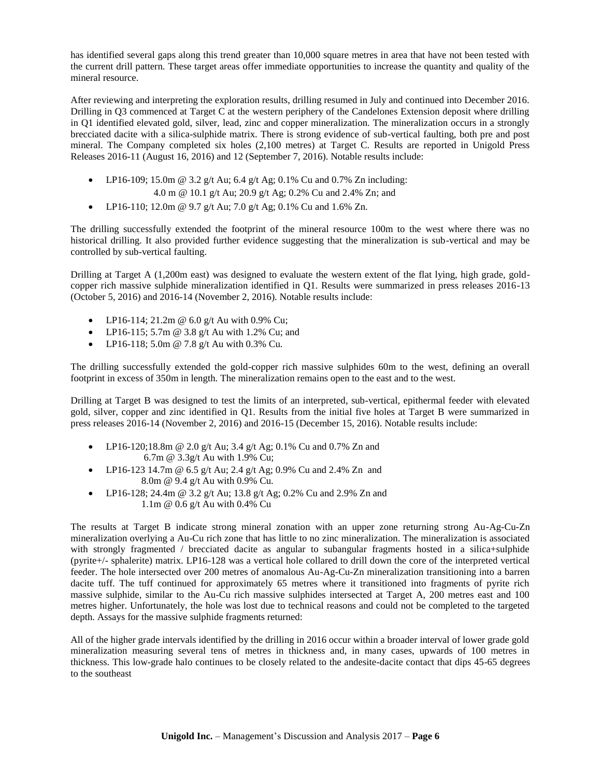has identified several gaps along this trend greater than 10,000 square metres in area that have not been tested with the current drill pattern. These target areas offer immediate opportunities to increase the quantity and quality of the mineral resource.

After reviewing and interpreting the exploration results, drilling resumed in July and continued into December 2016. Drilling in Q3 commenced at Target C at the western periphery of the Candelones Extension deposit where drilling in Q1 identified elevated gold, silver, lead, zinc and copper mineralization. The mineralization occurs in a strongly brecciated dacite with a silica-sulphide matrix. There is strong evidence of sub-vertical faulting, both pre and post mineral. The Company completed six holes (2,100 metres) at Target C. Results are reported in Unigold Press Releases 2016-11 (August 16, 2016) and 12 (September 7, 2016). Notable results include:

- LP16-109; 15.0m @ 3.2 g/t Au; 6.4 g/t Ag; 0.1% Cu and 0.7% Zn including:
	- 4.0 m @ 10.1 g/t Au; 20.9 g/t Ag; 0.2% Cu and 2.4% Zn; and
- LP16-110; 12.0m @ 9.7 g/t Au; 7.0 g/t Ag; 0.1% Cu and 1.6% Zn.

The drilling successfully extended the footprint of the mineral resource 100m to the west where there was no historical drilling. It also provided further evidence suggesting that the mineralization is sub-vertical and may be controlled by sub-vertical faulting.

Drilling at Target A (1,200m east) was designed to evaluate the western extent of the flat lying, high grade, goldcopper rich massive sulphide mineralization identified in Q1. Results were summarized in press releases 2016-13 (October 5, 2016) and 2016-14 (November 2, 2016). Notable results include:

- LP16-114; 21.2m  $\omega$  6.0 g/t Au with 0.9% Cu;
- LP16-115; 5.7m @ 3.8 g/t Au with 1.2% Cu; and
- LP16-118; 5.0m @ 7.8 g/t Au with 0.3% Cu.

The drilling successfully extended the gold-copper rich massive sulphides 60m to the west, defining an overall footprint in excess of 350m in length. The mineralization remains open to the east and to the west.

Drilling at Target B was designed to test the limits of an interpreted, sub-vertical, epithermal feeder with elevated gold, silver, copper and zinc identified in Q1. Results from the initial five holes at Target B were summarized in press releases 2016-14 (November 2, 2016) and 2016-15 (December 15, 2016). Notable results include:

- LP16-120;18.8m @ 2.0 g/t Au; 3.4 g/t Ag; 0.1% Cu and 0.7% Zn and 6.7m @ 3.3g/t Au with 1.9% Cu;
- LP16-123 14.7m  $\omega$  6.5 g/t Au; 2.4 g/t Ag; 0.9% Cu and 2.4% Zn and 8.0m @ 9.4 g/t Au with 0.9% Cu.
- LP16-128; 24.4m @ 3.2 g/t Au; 13.8 g/t Ag; 0.2% Cu and 2.9% Zn and 1.1m @ 0.6 g/t Au with 0.4% Cu

The results at Target B indicate strong mineral zonation with an upper zone returning strong Au-Ag-Cu-Zn mineralization overlying a Au-Cu rich zone that has little to no zinc mineralization. The mineralization is associated with strongly fragmented / brecciated dacite as angular to subangular fragments hosted in a silica+sulphide (pyrite+/- sphalerite) matrix. LP16-128 was a vertical hole collared to drill down the core of the interpreted vertical feeder. The hole intersected over 200 metres of anomalous Au-Ag-Cu-Zn mineralization transitioning into a barren dacite tuff. The tuff continued for approximately 65 metres where it transitioned into fragments of pyrite rich massive sulphide, similar to the Au-Cu rich massive sulphides intersected at Target A, 200 metres east and 100 metres higher. Unfortunately, the hole was lost due to technical reasons and could not be completed to the targeted depth. Assays for the massive sulphide fragments returned:

All of the higher grade intervals identified by the drilling in 2016 occur within a broader interval of lower grade gold mineralization measuring several tens of metres in thickness and, in many cases, upwards of 100 metres in thickness. This low-grade halo continues to be closely related to the andesite-dacite contact that dips 45-65 degrees to the southeast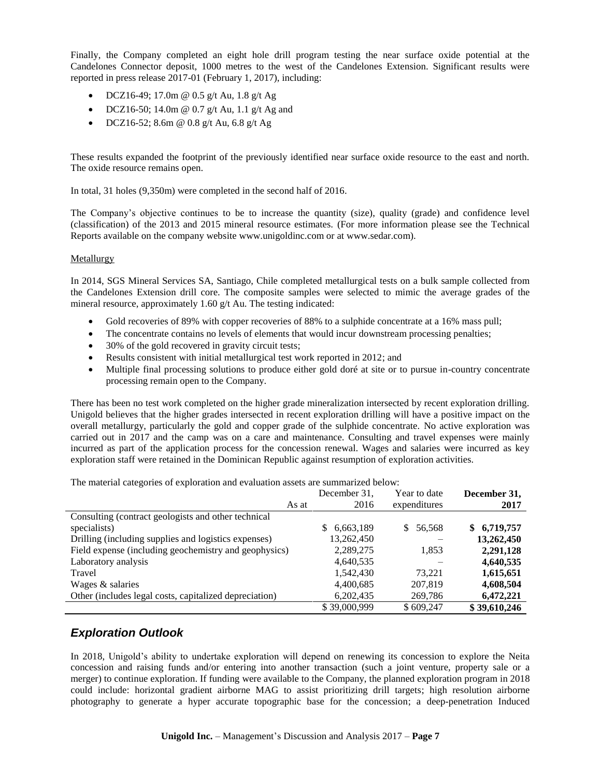Finally, the Company completed an eight hole drill program testing the near surface oxide potential at the Candelones Connector deposit, 1000 metres to the west of the Candelones Extension. Significant results were reported in press release 2017-01 (February 1, 2017), including:

- DCZ16-49; 17.0m @ 0.5 g/t Au, 1.8 g/t Ag
- DCZ16-50; 14.0m @ 0.7 g/t Au, 1.1 g/t Ag and
- DCZ16-52; 8.6m @ 0.8 g/t Au, 6.8 g/t Ag

These results expanded the footprint of the previously identified near surface oxide resource to the east and north. The oxide resource remains open.

In total, 31 holes (9,350m) were completed in the second half of 2016.

The Company's objective continues to be to increase the quantity (size), quality (grade) and confidence level (classification) of the 2013 and 2015 mineral resource estimates. (For more information please see the Technical Reports available on the company website www.unigoldinc.com or at www.sedar.com).

### Metallurgy

In 2014, SGS Mineral Services SA, Santiago, Chile completed metallurgical tests on a bulk sample collected from the Candelones Extension drill core. The composite samples were selected to mimic the average grades of the mineral resource, approximately 1.60 g/t Au. The testing indicated:

- Gold recoveries of 89% with copper recoveries of 88% to a sulphide concentrate at a 16% mass pull;
- The concentrate contains no levels of elements that would incur downstream processing penalties;
- 30% of the gold recovered in gravity circuit tests;
- Results consistent with initial metallurgical test work reported in 2012; and
- Multiple final processing solutions to produce either gold doré at site or to pursue in-country concentrate processing remain open to the Company.

There has been no test work completed on the higher grade mineralization intersected by recent exploration drilling. Unigold believes that the higher grades intersected in recent exploration drilling will have a positive impact on the overall metallurgy, particularly the gold and copper grade of the sulphide concentrate. No active exploration was carried out in 2017 and the camp was on a care and maintenance. Consulting and travel expenses were mainly incurred as part of the application process for the concession renewal. Wages and salaries were incurred as key exploration staff were retained in the Dominican Republic against resumption of exploration activities.

The material categories of exploration and evaluation assets are summarized below:

|                                                        | December 31.    | Year to date | December 31, |
|--------------------------------------------------------|-----------------|--------------|--------------|
| As at                                                  | 2016            | expenditures | 2017         |
| Consulting (contract geologists and other technical    |                 |              |              |
| specialists)                                           | 6,663,189<br>S. | 56,568<br>S. | \$6,719,757  |
| Drilling (including supplies and logistics expenses)   | 13,262,450      |              | 13,262,450   |
| Field expense (including geochemistry and geophysics)  | 2,289,275       | 1,853        | 2,291,128    |
| Laboratory analysis                                    | 4,640,535       |              | 4,640,535    |
| Travel                                                 | 1,542,430       | 73.221       | 1,615,651    |
| Wages & salaries                                       | 4,400,685       | 207,819      | 4,608,504    |
| Other (includes legal costs, capitalized depreciation) | 6,202,435       | 269,786      | 6,472,221    |
|                                                        | \$39,000,999    | \$609,247    | \$39,610,246 |

# <span id="page-9-0"></span>*Exploration Outlook*

In 2018, Unigold's ability to undertake exploration will depend on renewing its concession to explore the Neita concession and raising funds and/or entering into another transaction (such a joint venture, property sale or a merger) to continue exploration. If funding were available to the Company, the planned exploration program in 2018 could include: horizontal gradient airborne MAG to assist prioritizing drill targets; high resolution airborne photography to generate a hyper accurate topographic base for the concession; a deep-penetration Induced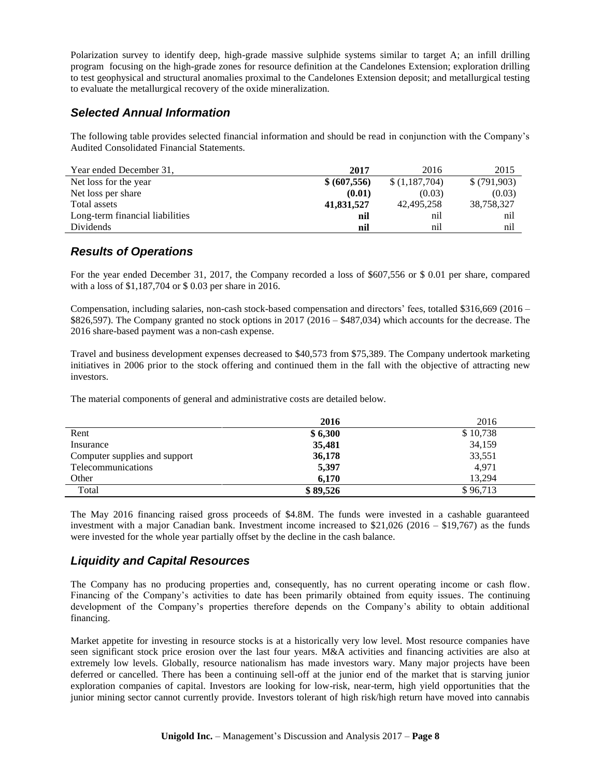Polarization survey to identify deep, high-grade massive sulphide systems similar to target A; an infill drilling program focusing on the high-grade zones for resource definition at the Candelones Extension; exploration drilling to test geophysical and structural anomalies proximal to the Candelones Extension deposit; and metallurgical testing to evaluate the metallurgical recovery of the oxide mineralization.

# <span id="page-10-0"></span>*Selected Annual Information*

The following table provides selected financial information and should be read in conjunction with the Company's Audited Consolidated Financial Statements.

| Year ended December 31,         | 2017         | 2016          | 2015        |
|---------------------------------|--------------|---------------|-------------|
| Net loss for the year           | \$ (607,556) | \$(1,187,704) | \$(791,903) |
| Net loss per share              | (0.01)       | (0.03)        | (0.03)      |
| Total assets                    | 41,831,527   | 42,495,258    | 38,758,327  |
| Long-term financial liabilities | nil          | nil           | nil         |
| Dividends                       | nil          | nil           | nil         |

# <span id="page-10-1"></span>*Results of Operations*

For the year ended December 31, 2017, the Company recorded a loss of \$607,556 or \$ 0.01 per share, compared with a loss of \$1,187,704 or \$ 0.03 per share in 2016.

Compensation, including salaries, non-cash stock-based compensation and directors' fees, totalled \$316,669 (2016 – \$826,597). The Company granted no stock options in 2017 (2016 – \$487,034) which accounts for the decrease. The 2016 share-based payment was a non-cash expense.

Travel and business development expenses decreased to \$40,573 from \$75,389. The Company undertook marketing initiatives in 2006 prior to the stock offering and continued them in the fall with the objective of attracting new investors.

The material components of general and administrative costs are detailed below.

|                               | 2016     | 2016     |
|-------------------------------|----------|----------|
| Rent                          | \$6,300  | \$10,738 |
| Insurance                     | 35,481   | 34,159   |
| Computer supplies and support | 36,178   | 33,551   |
| <b>Telecommunications</b>     | 5,397    | 4,971    |
| Other                         | 6.170    | 13.294   |
| Total                         | \$89,526 | \$96,713 |

The May 2016 financing raised gross proceeds of \$4.8M. The funds were invested in a cashable guaranteed investment with a major Canadian bank. Investment income increased to  $$21,026$  (2016 – \$19,767) as the funds were invested for the whole year partially offset by the decline in the cash balance.

# <span id="page-10-2"></span>*Liquidity and Capital Resources*

The Company has no producing properties and, consequently, has no current operating income or cash flow. Financing of the Company's activities to date has been primarily obtained from equity issues. The continuing development of the Company's properties therefore depends on the Company's ability to obtain additional financing.

Market appetite for investing in resource stocks is at a historically very low level. Most resource companies have seen significant stock price erosion over the last four years. M&A activities and financing activities are also at extremely low levels. Globally, resource nationalism has made investors wary. Many major projects have been deferred or cancelled. There has been a continuing sell-off at the junior end of the market that is starving junior exploration companies of capital. Investors are looking for low-risk, near-term, high yield opportunities that the junior mining sector cannot currently provide. Investors tolerant of high risk/high return have moved into cannabis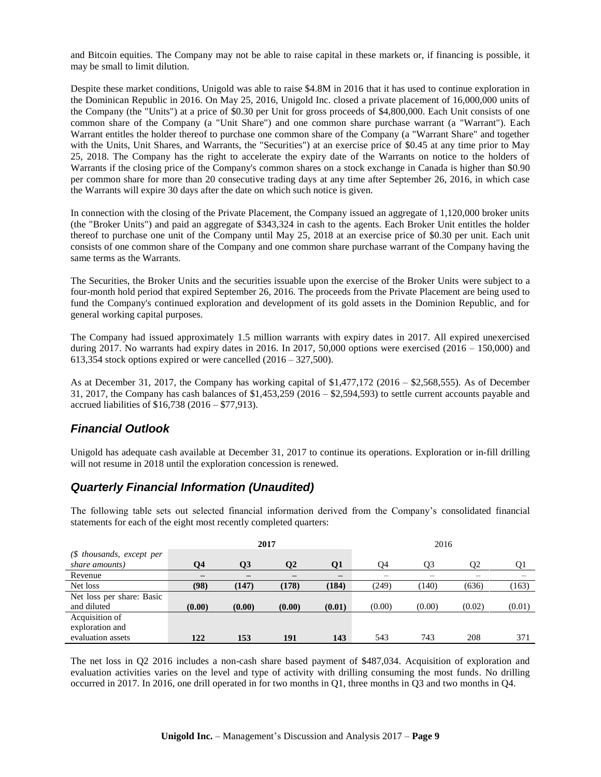and Bitcoin equities. The Company may not be able to raise capital in these markets or, if financing is possible, it may be small to limit dilution.

Despite these market conditions, Unigold was able to raise \$4.8M in 2016 that it has used to continue exploration in the Dominican Republic in 2016. On May 25, 2016, Unigold Inc. closed a private placement of 16,000,000 units of the Company (the "Units") at a price of \$0.30 per Unit for gross proceeds of \$4,800,000. Each Unit consists of one common share of the Company (a "Unit Share") and one common share purchase warrant (a "Warrant"). Each Warrant entitles the holder thereof to purchase one common share of the Company (a "Warrant Share" and together with the Units, Unit Shares, and Warrants, the "Securities") at an exercise price of \$0.45 at any time prior to May 25, 2018. The Company has the right to accelerate the expiry date of the Warrants on notice to the holders of Warrants if the closing price of the Company's common shares on a stock exchange in Canada is higher than \$0.90 per common share for more than 20 consecutive trading days at any time after September 26, 2016, in which case the Warrants will expire 30 days after the date on which such notice is given.

In connection with the closing of the Private Placement, the Company issued an aggregate of 1,120,000 broker units (the "Broker Units") and paid an aggregate of \$343,324 in cash to the agents. Each Broker Unit entitles the holder thereof to purchase one unit of the Company until May 25, 2018 at an exercise price of \$0.30 per unit. Each unit consists of one common share of the Company and one common share purchase warrant of the Company having the same terms as the Warrants.

The Securities, the Broker Units and the securities issuable upon the exercise of the Broker Units were subject to a four-month hold period that expired September 26, 2016. The proceeds from the Private Placement are being used to fund the Company's continued exploration and development of its gold assets in the Dominion Republic, and for general working capital purposes.

The Company had issued approximately 1.5 million warrants with expiry dates in 2017. All expired unexercised during 2017. No warrants had expiry dates in 2016. In 2017, 50,000 options were exercised (2016 – 150,000) and 613,354 stock options expired or were cancelled  $(2016 - 327,500)$ .

As at December 31, 2017, the Company has working capital of \$1,477,172 (2016 – \$2,568,555). As of December 31, 2017, the Company has cash balances of \$1,453,259 (2016 – \$2,594,593) to settle current accounts payable and accrued liabilities of \$16,738 (2016 – \$77,913).

# <span id="page-11-0"></span>*Financial Outlook*

Unigold has adequate cash available at December 31, 2017 to continue its operations. Exploration or in-fill drilling will not resume in 2018 until the exploration concession is renewed.

# <span id="page-11-1"></span>*Quarterly Financial Information (Unaudited)*

The following table sets out selected financial information derived from the Company's consolidated financial statements for each of the eight most recently completed quarters:

|                            | 2017   |           |        | 2016                     |        |                |        |        |
|----------------------------|--------|-----------|--------|--------------------------|--------|----------------|--------|--------|
| $$\$ fhousands, except per |        |           |        |                          |        |                |        |        |
| share amounts)             | 04     | <b>O3</b> | Ο2     | 01                       | Q4     | Q <sub>3</sub> | 02     | Q1     |
| Revenue                    |        |           |        | $\overline{\phantom{m}}$ |        |                |        |        |
| Net loss                   | (98)   | (147)     | (178)  | (184)                    | (249)  | (140)          | (636)  | (163)  |
| Net loss per share: Basic  |        |           |        |                          |        |                |        |        |
| and diluted                | (0.00) | (0.00)    | (0.00) | (0.01)                   | (0.00) | (0.00)         | (0.02) | (0.01) |
| Acquisition of             |        |           |        |                          |        |                |        |        |
| exploration and            |        |           |        |                          |        |                |        |        |
| evaluation assets          | 122    | 153       | 191    | 143                      | 543    | 743            | 208    | 371    |

The net loss in Q2 2016 includes a non-cash share based payment of \$487,034. Acquisition of exploration and evaluation activities varies on the level and type of activity with drilling consuming the most funds. No drilling occurred in 2017. In 2016, one drill operated in for two months in Q1, three months in Q3 and two months in Q4.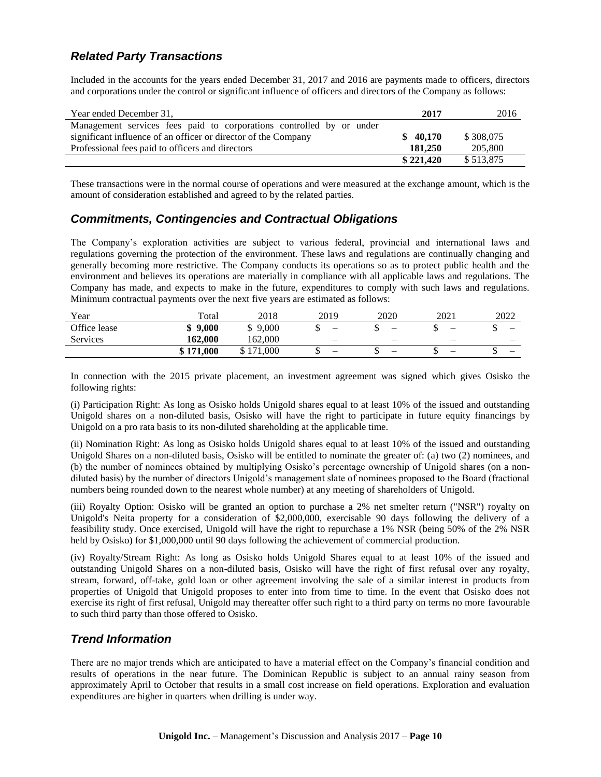# <span id="page-12-0"></span>*Related Party Transactions*

Included in the accounts for the years ended December 31, 2017 and 2016 are payments made to officers, directors and corporations under the control or significant influence of officers and directors of the Company as follows:

| Year ended December 31,                                              | 2017      | 2016      |
|----------------------------------------------------------------------|-----------|-----------|
| Management services fees paid to corporations controlled by or under |           |           |
| significant influence of an officer or director of the Company       | \$40.170  | \$308,075 |
| Professional fees paid to officers and directors                     | 181,250   | 205,800   |
|                                                                      | \$221,420 | \$513,875 |

These transactions were in the normal course of operations and were measured at the exchange amount, which is the amount of consideration established and agreed to by the related parties.

# <span id="page-12-1"></span>*Commitments, Contingencies and Contractual Obligations*

The Company's exploration activities are subject to various federal, provincial and international laws and regulations governing the protection of the environment. These laws and regulations are continually changing and generally becoming more restrictive. The Company conducts its operations so as to protect public health and the environment and believes its operations are materially in compliance with all applicable laws and regulations. The Company has made, and expects to make in the future, expenditures to comply with such laws and regulations. Minimum contractual payments over the next five years are estimated as follows:

| Year            | Total          | 2018       | 2019                     | 2020 | 2021                          | 2022 |
|-----------------|----------------|------------|--------------------------|------|-------------------------------|------|
| Office lease    | 9,000<br>J     | 9,000<br>◡ | $\overline{\phantom{0}}$ | -    | $\overline{\phantom{0}}$<br>╜ | -    |
| <b>Services</b> | <b>162.000</b> | 162.000    | $\overline{\phantom{0}}$ |      | -                             | $-$  |
|                 | \$171,000      | 1.000      |                          | -    | $\overline{\phantom{0}}$      | ΝШ   |

In connection with the 2015 private placement, an investment agreement was signed which gives Osisko the following rights:

(i) Participation Right: As long as Osisko holds Unigold shares equal to at least 10% of the issued and outstanding Unigold shares on a non-diluted basis, Osisko will have the right to participate in future equity financings by Unigold on a pro rata basis to its non-diluted shareholding at the applicable time.

(ii) Nomination Right: As long as Osisko holds Unigold shares equal to at least 10% of the issued and outstanding Unigold Shares on a non-diluted basis, Osisko will be entitled to nominate the greater of: (a) two (2) nominees, and (b) the number of nominees obtained by multiplying Osisko's percentage ownership of Unigold shares (on a nondiluted basis) by the number of directors Unigold's management slate of nominees proposed to the Board (fractional numbers being rounded down to the nearest whole number) at any meeting of shareholders of Unigold.

(iii) Royalty Option: Osisko will be granted an option to purchase a 2% net smelter return ("NSR") royalty on Unigold's Neita property for a consideration of \$2,000,000, exercisable 90 days following the delivery of a feasibility study. Once exercised, Unigold will have the right to repurchase a 1% NSR (being 50% of the 2% NSR held by Osisko) for \$1,000,000 until 90 days following the achievement of commercial production.

(iv) Royalty/Stream Right: As long as Osisko holds Unigold Shares equal to at least 10% of the issued and outstanding Unigold Shares on a non-diluted basis, Osisko will have the right of first refusal over any royalty, stream, forward, off-take, gold loan or other agreement involving the sale of a similar interest in products from properties of Unigold that Unigold proposes to enter into from time to time. In the event that Osisko does not exercise its right of first refusal, Unigold may thereafter offer such right to a third party on terms no more favourable to such third party than those offered to Osisko.

# <span id="page-12-2"></span>*Trend Information*

There are no major trends which are anticipated to have a material effect on the Company's financial condition and results of operations in the near future. The Dominican Republic is subject to an annual rainy season from approximately April to October that results in a small cost increase on field operations. Exploration and evaluation expenditures are higher in quarters when drilling is under way.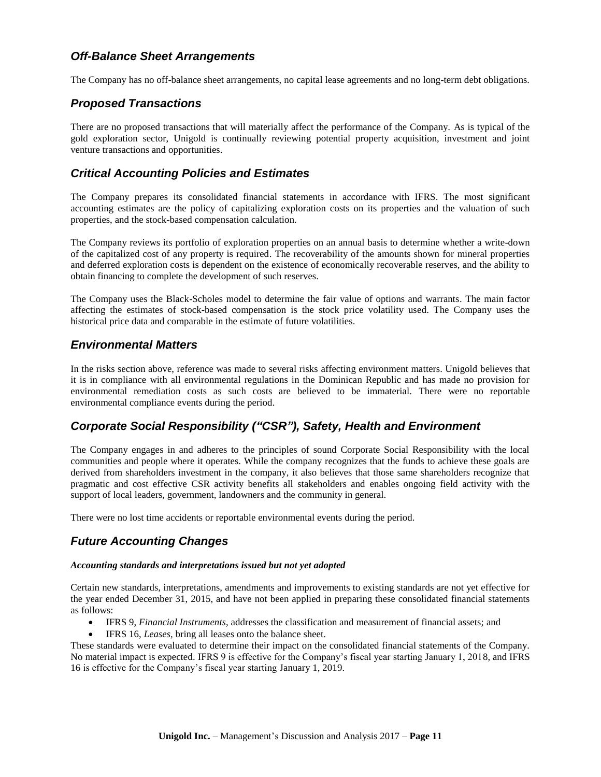# <span id="page-13-0"></span>*Off-Balance Sheet Arrangements*

The Company has no off-balance sheet arrangements, no capital lease agreements and no long-term debt obligations.

# <span id="page-13-1"></span>*Proposed Transactions*

There are no proposed transactions that will materially affect the performance of the Company. As is typical of the gold exploration sector, Unigold is continually reviewing potential property acquisition, investment and joint venture transactions and opportunities.

# <span id="page-13-2"></span>*Critical Accounting Policies and Estimates*

The Company prepares its consolidated financial statements in accordance with IFRS. The most significant accounting estimates are the policy of capitalizing exploration costs on its properties and the valuation of such properties, and the stock-based compensation calculation.

The Company reviews its portfolio of exploration properties on an annual basis to determine whether a write-down of the capitalized cost of any property is required. The recoverability of the amounts shown for mineral properties and deferred exploration costs is dependent on the existence of economically recoverable reserves, and the ability to obtain financing to complete the development of such reserves.

The Company uses the Black-Scholes model to determine the fair value of options and warrants. The main factor affecting the estimates of stock-based compensation is the stock price volatility used. The Company uses the historical price data and comparable in the estimate of future volatilities.

# <span id="page-13-3"></span>*Environmental Matters*

In the risks section above, reference was made to several risks affecting environment matters. Unigold believes that it is in compliance with all environmental regulations in the Dominican Republic and has made no provision for environmental remediation costs as such costs are believed to be immaterial. There were no reportable environmental compliance events during the period.

# <span id="page-13-4"></span>*Corporate Social Responsibility ("CSR"), Safety, Health and Environment*

The Company engages in and adheres to the principles of sound Corporate Social Responsibility with the local communities and people where it operates. While the company recognizes that the funds to achieve these goals are derived from shareholders investment in the company, it also believes that those same shareholders recognize that pragmatic and cost effective CSR activity benefits all stakeholders and enables ongoing field activity with the support of local leaders, government, landowners and the community in general.

There were no lost time accidents or reportable environmental events during the period.

# <span id="page-13-5"></span>*Future Accounting Changes*

### *Accounting standards and interpretations issued but not yet adopted*

Certain new standards, interpretations, amendments and improvements to existing standards are not yet effective for the year ended December 31, 2015, and have not been applied in preparing these consolidated financial statements as follows:

- IFRS 9, *Financial Instruments*, addresses the classification and measurement of financial assets; and
- IFRS 16, *Leases*, bring all leases onto the balance sheet.

These standards were evaluated to determine their impact on the consolidated financial statements of the Company. No material impact is expected. IFRS 9 is effective for the Company's fiscal year starting January 1, 2018, and IFRS 16 is effective for the Company's fiscal year starting January 1, 2019.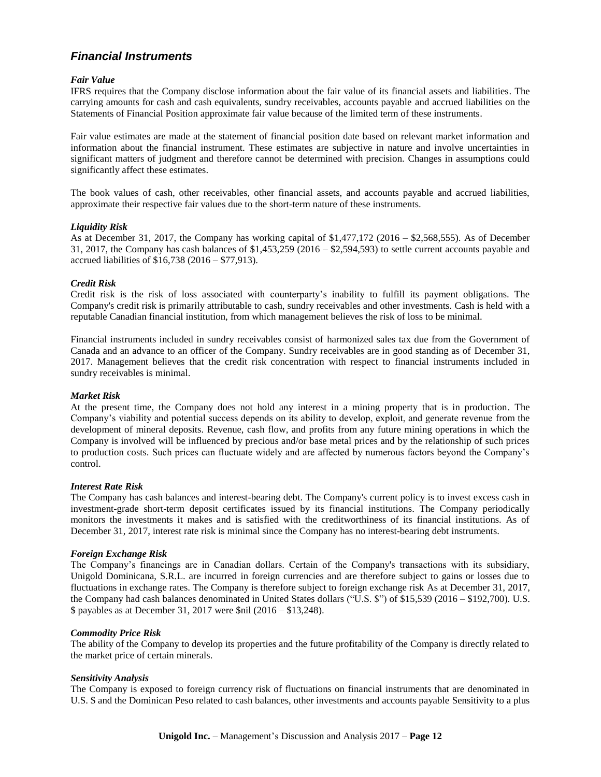# <span id="page-14-0"></span>*Financial Instruments*

#### *Fair Value*

IFRS requires that the Company disclose information about the fair value of its financial assets and liabilities. The carrying amounts for cash and cash equivalents, sundry receivables, accounts payable and accrued liabilities on the Statements of Financial Position approximate fair value because of the limited term of these instruments.

Fair value estimates are made at the statement of financial position date based on relevant market information and information about the financial instrument. These estimates are subjective in nature and involve uncertainties in significant matters of judgment and therefore cannot be determined with precision. Changes in assumptions could significantly affect these estimates.

The book values of cash, other receivables, other financial assets, and accounts payable and accrued liabilities, approximate their respective fair values due to the short-term nature of these instruments.

#### *Liquidity Risk*

As at December 31, 2017, the Company has working capital of \$1,477,172 (2016 – \$2,568,555). As of December 31, 2017, the Company has cash balances of \$1,453,259 (2016 – \$2,594,593) to settle current accounts payable and accrued liabilities of \$16,738 (2016 – \$77,913).

#### *Credit Risk*

Credit risk is the risk of loss associated with counterparty's inability to fulfill its payment obligations. The Company's credit risk is primarily attributable to cash, sundry receivables and other investments. Cash is held with a reputable Canadian financial institution, from which management believes the risk of loss to be minimal.

Financial instruments included in sundry receivables consist of harmonized sales tax due from the Government of Canada and an advance to an officer of the Company. Sundry receivables are in good standing as of December 31, 2017. Management believes that the credit risk concentration with respect to financial instruments included in sundry receivables is minimal.

#### *Market Risk*

At the present time, the Company does not hold any interest in a mining property that is in production. The Company's viability and potential success depends on its ability to develop, exploit, and generate revenue from the development of mineral deposits. Revenue, cash flow, and profits from any future mining operations in which the Company is involved will be influenced by precious and/or base metal prices and by the relationship of such prices to production costs. Such prices can fluctuate widely and are affected by numerous factors beyond the Company's control.

#### *Interest Rate Risk*

The Company has cash balances and interest-bearing debt. The Company's current policy is to invest excess cash in investment-grade short-term deposit certificates issued by its financial institutions. The Company periodically monitors the investments it makes and is satisfied with the creditworthiness of its financial institutions. As of December 31, 2017, interest rate risk is minimal since the Company has no interest-bearing debt instruments.

#### *Foreign Exchange Risk*

The Company's financings are in Canadian dollars. Certain of the Company's transactions with its subsidiary, Unigold Dominicana, S.R.L. are incurred in foreign currencies and are therefore subject to gains or losses due to fluctuations in exchange rates. The Company is therefore subject to foreign exchange risk As at December 31, 2017, the Company had cash balances denominated in United States dollars ("U.S. \$") of \$15,539 (2016 – \$192,700). U.S. \$ payables as at December 31, 2017 were \$nil (2016 – \$13,248).

### *Commodity Price Risk*

The ability of the Company to develop its properties and the future profitability of the Company is directly related to the market price of certain minerals.

#### *Sensitivity Analysis*

The Company is exposed to foreign currency risk of fluctuations on financial instruments that are denominated in U.S. \$ and the Dominican Peso related to cash balances, other investments and accounts payable Sensitivity to a plus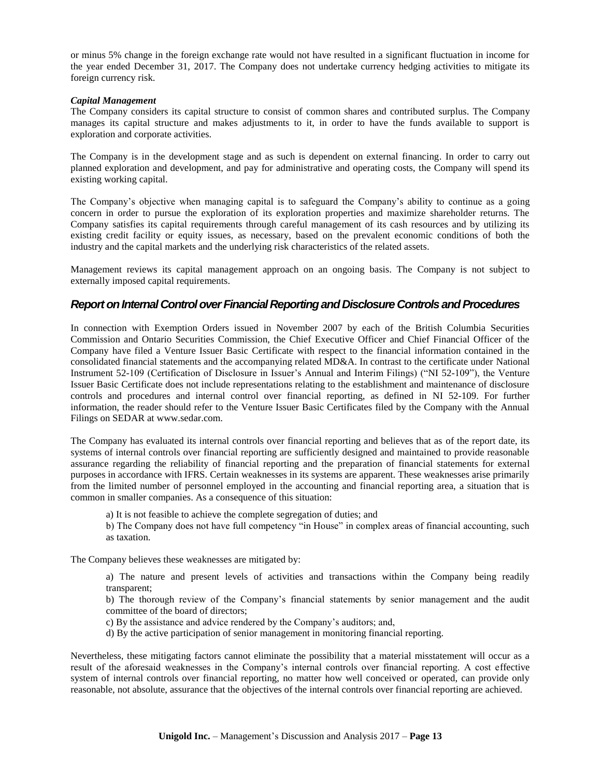or minus 5% change in the foreign exchange rate would not have resulted in a significant fluctuation in income for the year ended December 31, 2017. The Company does not undertake currency hedging activities to mitigate its foreign currency risk.

#### *Capital Management*

The Company considers its capital structure to consist of common shares and contributed surplus. The Company manages its capital structure and makes adjustments to it, in order to have the funds available to support is exploration and corporate activities.

The Company is in the development stage and as such is dependent on external financing. In order to carry out planned exploration and development, and pay for administrative and operating costs, the Company will spend its existing working capital.

The Company's objective when managing capital is to safeguard the Company's ability to continue as a going concern in order to pursue the exploration of its exploration properties and maximize shareholder returns. The Company satisfies its capital requirements through careful management of its cash resources and by utilizing its existing credit facility or equity issues, as necessary, based on the prevalent economic conditions of both the industry and the capital markets and the underlying risk characteristics of the related assets.

Management reviews its capital management approach on an ongoing basis. The Company is not subject to externally imposed capital requirements.

### <span id="page-15-0"></span>*Report on Internal Control over Financial Reportingand Disclosure Controls and Procedures*

In connection with Exemption Orders issued in November 2007 by each of the British Columbia Securities Commission and Ontario Securities Commission, the Chief Executive Officer and Chief Financial Officer of the Company have filed a Venture Issuer Basic Certificate with respect to the financial information contained in the consolidated financial statements and the accompanying related MD&A. In contrast to the certificate under National Instrument 52-109 (Certification of Disclosure in Issuer's Annual and Interim Filings) ("NI 52-109"), the Venture Issuer Basic Certificate does not include representations relating to the establishment and maintenance of disclosure controls and procedures and internal control over financial reporting, as defined in NI 52-109. For further information, the reader should refer to the Venture Issuer Basic Certificates filed by the Company with the Annual Filings on SEDAR at www.sedar.com.

The Company has evaluated its internal controls over financial reporting and believes that as of the report date, its systems of internal controls over financial reporting are sufficiently designed and maintained to provide reasonable assurance regarding the reliability of financial reporting and the preparation of financial statements for external purposes in accordance with IFRS. Certain weaknesses in its systems are apparent. These weaknesses arise primarily from the limited number of personnel employed in the accounting and financial reporting area, a situation that is common in smaller companies. As a consequence of this situation:

a) It is not feasible to achieve the complete segregation of duties; and

b) The Company does not have full competency "in House" in complex areas of financial accounting, such as taxation.

The Company believes these weaknesses are mitigated by:

a) The nature and present levels of activities and transactions within the Company being readily transparent;

b) The thorough review of the Company's financial statements by senior management and the audit committee of the board of directors;

- c) By the assistance and advice rendered by the Company's auditors; and,
- d) By the active participation of senior management in monitoring financial reporting.

Nevertheless, these mitigating factors cannot eliminate the possibility that a material misstatement will occur as a result of the aforesaid weaknesses in the Company's internal controls over financial reporting. A cost effective system of internal controls over financial reporting, no matter how well conceived or operated, can provide only reasonable, not absolute, assurance that the objectives of the internal controls over financial reporting are achieved.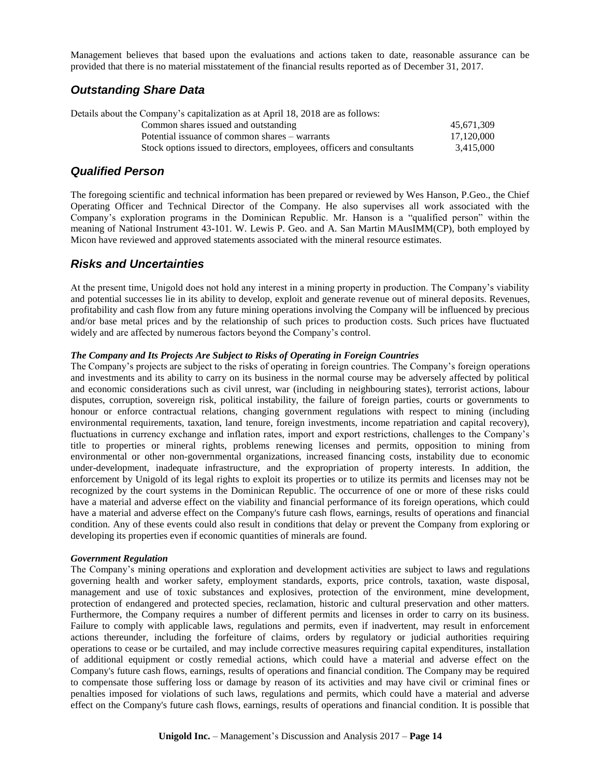Management believes that based upon the evaluations and actions taken to date, reasonable assurance can be provided that there is no material misstatement of the financial results reported as of December 31, 2017.

# <span id="page-16-0"></span>*Outstanding Share Data*

| Details about the Company's capitalization as at April 18, 2018 are as follows: |            |
|---------------------------------------------------------------------------------|------------|
| Common shares issued and outstanding                                            | 45.671.309 |
| Potential issuance of common shares – warrants                                  | 17.120.000 |
| Stock options issued to directors, employees, officers and consultants          | 3.415.000  |

### <span id="page-16-1"></span>*Qualified Person*

The foregoing scientific and technical information has been prepared or reviewed by Wes Hanson, P.Geo., the Chief Operating Officer and Technical Director of the Company. He also supervises all work associated with the Company's exploration programs in the Dominican Republic. Mr. Hanson is a "qualified person" within the meaning of National Instrument 43-101. W. Lewis P. Geo. and A. San Martin MAusIMM(CP), both employed by Micon have reviewed and approved statements associated with the mineral resource estimates.

# <span id="page-16-2"></span>*Risks and Uncertainties*

At the present time, Unigold does not hold any interest in a mining property in production. The Company's viability and potential successes lie in its ability to develop, exploit and generate revenue out of mineral deposits. Revenues, profitability and cash flow from any future mining operations involving the Company will be influenced by precious and/or base metal prices and by the relationship of such prices to production costs. Such prices have fluctuated widely and are affected by numerous factors beyond the Company's control.

#### *The Company and Its Projects Are Subject to Risks of Operating in Foreign Countries*

The Company's projects are subject to the risks of operating in foreign countries. The Company's foreign operations and investments and its ability to carry on its business in the normal course may be adversely affected by political and economic considerations such as civil unrest, war (including in neighbouring states), terrorist actions, labour disputes, corruption, sovereign risk, political instability, the failure of foreign parties, courts or governments to honour or enforce contractual relations, changing government regulations with respect to mining (including environmental requirements, taxation, land tenure, foreign investments, income repatriation and capital recovery), fluctuations in currency exchange and inflation rates, import and export restrictions, challenges to the Company's title to properties or mineral rights, problems renewing licenses and permits, opposition to mining from environmental or other non-governmental organizations, increased financing costs, instability due to economic under-development, inadequate infrastructure, and the expropriation of property interests. In addition, the enforcement by Unigold of its legal rights to exploit its properties or to utilize its permits and licenses may not be recognized by the court systems in the Dominican Republic. The occurrence of one or more of these risks could have a material and adverse effect on the viability and financial performance of its foreign operations, which could have a material and adverse effect on the Company's future cash flows, earnings, results of operations and financial condition. Any of these events could also result in conditions that delay or prevent the Company from exploring or developing its properties even if economic quantities of minerals are found.

#### *Government Regulation*

The Company's mining operations and exploration and development activities are subject to laws and regulations governing health and worker safety, employment standards, exports, price controls, taxation, waste disposal, management and use of toxic substances and explosives, protection of the environment, mine development, protection of endangered and protected species, reclamation, historic and cultural preservation and other matters. Furthermore, the Company requires a number of different permits and licenses in order to carry on its business. Failure to comply with applicable laws, regulations and permits, even if inadvertent, may result in enforcement actions thereunder, including the forfeiture of claims, orders by regulatory or judicial authorities requiring operations to cease or be curtailed, and may include corrective measures requiring capital expenditures, installation of additional equipment or costly remedial actions, which could have a material and adverse effect on the Company's future cash flows, earnings, results of operations and financial condition. The Company may be required to compensate those suffering loss or damage by reason of its activities and may have civil or criminal fines or penalties imposed for violations of such laws, regulations and permits, which could have a material and adverse effect on the Company's future cash flows, earnings, results of operations and financial condition. It is possible that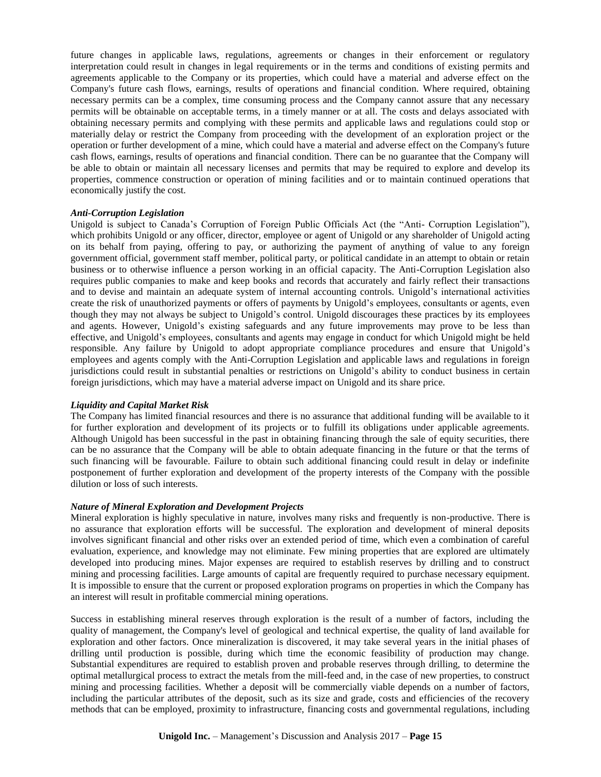future changes in applicable laws, regulations, agreements or changes in their enforcement or regulatory interpretation could result in changes in legal requirements or in the terms and conditions of existing permits and agreements applicable to the Company or its properties, which could have a material and adverse effect on the Company's future cash flows, earnings, results of operations and financial condition. Where required, obtaining necessary permits can be a complex, time consuming process and the Company cannot assure that any necessary permits will be obtainable on acceptable terms, in a timely manner or at all. The costs and delays associated with obtaining necessary permits and complying with these permits and applicable laws and regulations could stop or materially delay or restrict the Company from proceeding with the development of an exploration project or the operation or further development of a mine, which could have a material and adverse effect on the Company's future cash flows, earnings, results of operations and financial condition. There can be no guarantee that the Company will be able to obtain or maintain all necessary licenses and permits that may be required to explore and develop its properties, commence construction or operation of mining facilities and or to maintain continued operations that economically justify the cost.

#### *Anti-Corruption Legislation*

Unigold is subject to Canada's Corruption of Foreign Public Officials Act (the "Anti- Corruption Legislation"), which prohibits Unigold or any officer, director, employee or agent of Unigold or any shareholder of Unigold acting on its behalf from paying, offering to pay, or authorizing the payment of anything of value to any foreign government official, government staff member, political party, or political candidate in an attempt to obtain or retain business or to otherwise influence a person working in an official capacity. The Anti-Corruption Legislation also requires public companies to make and keep books and records that accurately and fairly reflect their transactions and to devise and maintain an adequate system of internal accounting controls. Unigold's international activities create the risk of unauthorized payments or offers of payments by Unigold's employees, consultants or agents, even though they may not always be subject to Unigold's control. Unigold discourages these practices by its employees and agents. However, Unigold's existing safeguards and any future improvements may prove to be less than effective, and Unigold's employees, consultants and agents may engage in conduct for which Unigold might be held responsible. Any failure by Unigold to adopt appropriate compliance procedures and ensure that Unigold's employees and agents comply with the Anti-Corruption Legislation and applicable laws and regulations in foreign jurisdictions could result in substantial penalties or restrictions on Unigold's ability to conduct business in certain foreign jurisdictions, which may have a material adverse impact on Unigold and its share price.

#### *Liquidity and Capital Market Risk*

The Company has limited financial resources and there is no assurance that additional funding will be available to it for further exploration and development of its projects or to fulfill its obligations under applicable agreements. Although Unigold has been successful in the past in obtaining financing through the sale of equity securities, there can be no assurance that the Company will be able to obtain adequate financing in the future or that the terms of such financing will be favourable. Failure to obtain such additional financing could result in delay or indefinite postponement of further exploration and development of the property interests of the Company with the possible dilution or loss of such interests.

#### *Nature of Mineral Exploration and Development Projects*

Mineral exploration is highly speculative in nature, involves many risks and frequently is non-productive. There is no assurance that exploration efforts will be successful. The exploration and development of mineral deposits involves significant financial and other risks over an extended period of time, which even a combination of careful evaluation, experience, and knowledge may not eliminate. Few mining properties that are explored are ultimately developed into producing mines. Major expenses are required to establish reserves by drilling and to construct mining and processing facilities. Large amounts of capital are frequently required to purchase necessary equipment. It is impossible to ensure that the current or proposed exploration programs on properties in which the Company has an interest will result in profitable commercial mining operations.

Success in establishing mineral reserves through exploration is the result of a number of factors, including the quality of management, the Company's level of geological and technical expertise, the quality of land available for exploration and other factors. Once mineralization is discovered, it may take several years in the initial phases of drilling until production is possible, during which time the economic feasibility of production may change. Substantial expenditures are required to establish proven and probable reserves through drilling, to determine the optimal metallurgical process to extract the metals from the mill-feed and, in the case of new properties, to construct mining and processing facilities. Whether a deposit will be commercially viable depends on a number of factors, including the particular attributes of the deposit, such as its size and grade, costs and efficiencies of the recovery methods that can be employed, proximity to infrastructure, financing costs and governmental regulations, including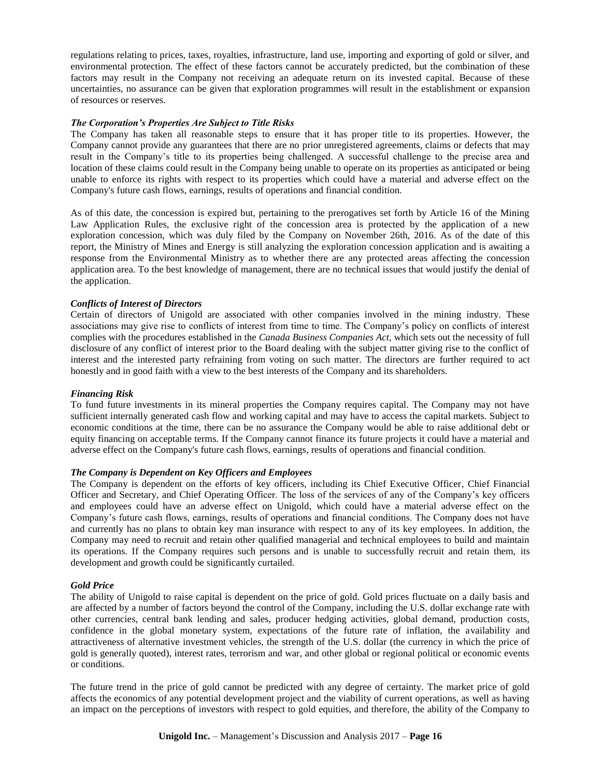regulations relating to prices, taxes, royalties, infrastructure, land use, importing and exporting of gold or silver, and environmental protection. The effect of these factors cannot be accurately predicted, but the combination of these factors may result in the Company not receiving an adequate return on its invested capital. Because of these uncertainties, no assurance can be given that exploration programmes will result in the establishment or expansion of resources or reserves.

#### *The Corporation's Properties Are Subject to Title Risks*

The Company has taken all reasonable steps to ensure that it has proper title to its properties. However, the Company cannot provide any guarantees that there are no prior unregistered agreements, claims or defects that may result in the Company's title to its properties being challenged. A successful challenge to the precise area and location of these claims could result in the Company being unable to operate on its properties as anticipated or being unable to enforce its rights with respect to its properties which could have a material and adverse effect on the Company's future cash flows, earnings, results of operations and financial condition.

As of this date, the concession is expired but, pertaining to the prerogatives set forth by Article 16 of the Mining Law Application Rules, the exclusive right of the concession area is protected by the application of a new exploration concession, which was duly filed by the Company on November 26th, 2016. As of the date of this report, the Ministry of Mines and Energy is still analyzing the exploration concession application and is awaiting a response from the Environmental Ministry as to whether there are any protected areas affecting the concession application area. To the best knowledge of management, there are no technical issues that would justify the denial of the application.

### *Conflicts of Interest of Directors*

Certain of directors of Unigold are associated with other companies involved in the mining industry. These associations may give rise to conflicts of interest from time to time. The Company's policy on conflicts of interest complies with the procedures established in the *Canada Business Companies Act*, which sets out the necessity of full disclosure of any conflict of interest prior to the Board dealing with the subject matter giving rise to the conflict of interest and the interested party refraining from voting on such matter. The directors are further required to act honestly and in good faith with a view to the best interests of the Company and its shareholders.

### *Financing Risk*

To fund future investments in its mineral properties the Company requires capital. The Company may not have sufficient internally generated cash flow and working capital and may have to access the capital markets. Subject to economic conditions at the time, there can be no assurance the Company would be able to raise additional debt or equity financing on acceptable terms. If the Company cannot finance its future projects it could have a material and adverse effect on the Company's future cash flows, earnings, results of operations and financial condition.

#### *The Company is Dependent on Key Officers and Employees*

The Company is dependent on the efforts of key officers, including its Chief Executive Officer, Chief Financial Officer and Secretary, and Chief Operating Officer. The loss of the services of any of the Company's key officers and employees could have an adverse effect on Unigold, which could have a material adverse effect on the Company's future cash flows, earnings, results of operations and financial conditions. The Company does not have and currently has no plans to obtain key man insurance with respect to any of its key employees. In addition, the Company may need to recruit and retain other qualified managerial and technical employees to build and maintain its operations. If the Company requires such persons and is unable to successfully recruit and retain them, its development and growth could be significantly curtailed.

#### *Gold Price*

The ability of Unigold to raise capital is dependent on the price of gold. Gold prices fluctuate on a daily basis and are affected by a number of factors beyond the control of the Company, including the U.S. dollar exchange rate with other currencies, central bank lending and sales, producer hedging activities, global demand, production costs, confidence in the global monetary system, expectations of the future rate of inflation, the availability and attractiveness of alternative investment vehicles, the strength of the U.S. dollar (the currency in which the price of gold is generally quoted), interest rates, terrorism and war, and other global or regional political or economic events or conditions.

The future trend in the price of gold cannot be predicted with any degree of certainty. The market price of gold affects the economics of any potential development project and the viability of current operations, as well as having an impact on the perceptions of investors with respect to gold equities, and therefore, the ability of the Company to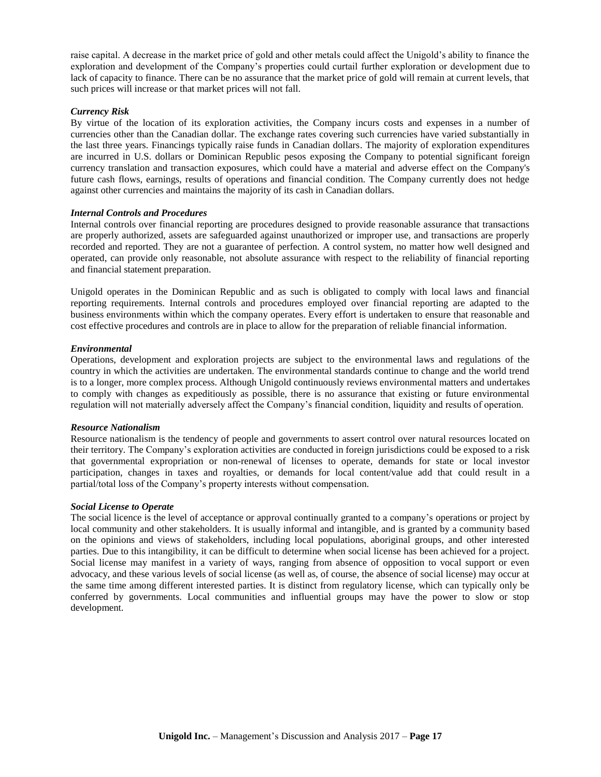raise capital. A decrease in the market price of gold and other metals could affect the Unigold's ability to finance the exploration and development of the Company's properties could curtail further exploration or development due to lack of capacity to finance. There can be no assurance that the market price of gold will remain at current levels, that such prices will increase or that market prices will not fall.

#### *Currency Risk*

By virtue of the location of its exploration activities, the Company incurs costs and expenses in a number of currencies other than the Canadian dollar. The exchange rates covering such currencies have varied substantially in the last three years. Financings typically raise funds in Canadian dollars. The majority of exploration expenditures are incurred in U.S. dollars or Dominican Republic pesos exposing the Company to potential significant foreign currency translation and transaction exposures, which could have a material and adverse effect on the Company's future cash flows, earnings, results of operations and financial condition. The Company currently does not hedge against other currencies and maintains the majority of its cash in Canadian dollars.

#### *Internal Controls and Procedures*

Internal controls over financial reporting are procedures designed to provide reasonable assurance that transactions are properly authorized, assets are safeguarded against unauthorized or improper use, and transactions are properly recorded and reported. They are not a guarantee of perfection. A control system, no matter how well designed and operated, can provide only reasonable, not absolute assurance with respect to the reliability of financial reporting and financial statement preparation.

Unigold operates in the Dominican Republic and as such is obligated to comply with local laws and financial reporting requirements. Internal controls and procedures employed over financial reporting are adapted to the business environments within which the company operates. Every effort is undertaken to ensure that reasonable and cost effective procedures and controls are in place to allow for the preparation of reliable financial information.

#### *Environmental*

Operations, development and exploration projects are subject to the environmental laws and regulations of the country in which the activities are undertaken. The environmental standards continue to change and the world trend is to a longer, more complex process. Although Unigold continuously reviews environmental matters and undertakes to comply with changes as expeditiously as possible, there is no assurance that existing or future environmental regulation will not materially adversely affect the Company's financial condition, liquidity and results of operation.

#### *Resource Nationalism*

Resource nationalism is the tendency of people and governments to assert control over [natural resources](http://en.wikipedia.org/wiki/Natural_resources) located on their territory. The Company's exploration activities are conducted in foreign jurisdictions could be exposed to a risk that governmental expropriation or non-renewal of licenses to operate, demands for state or local investor participation, changes in taxes and royalties, or demands for local content/value add that could result in a partial/total loss of the Company's property interests without compensation.

#### *Social License to Operate*

The social licence is the level of acceptance or approval continually granted to a company's operations or project by local community and other stakeholders. It is usually informal and intangible, and is granted by a community based on the opinions and views of stakeholders, including local populations, aboriginal groups, and other interested parties. Due to this intangibility, it can be difficult to determine when social license has been achieved for a project. Social license may manifest in a variety of ways, ranging from absence of opposition to vocal support or even advocacy, and these various levels of social license (as well as, of course, the absence of social license) may occur at the same time among different interested parties. It is distinct from regulatory license, which can typically only be conferred by governments. Local communities and influential groups may have the power to slow or stop development.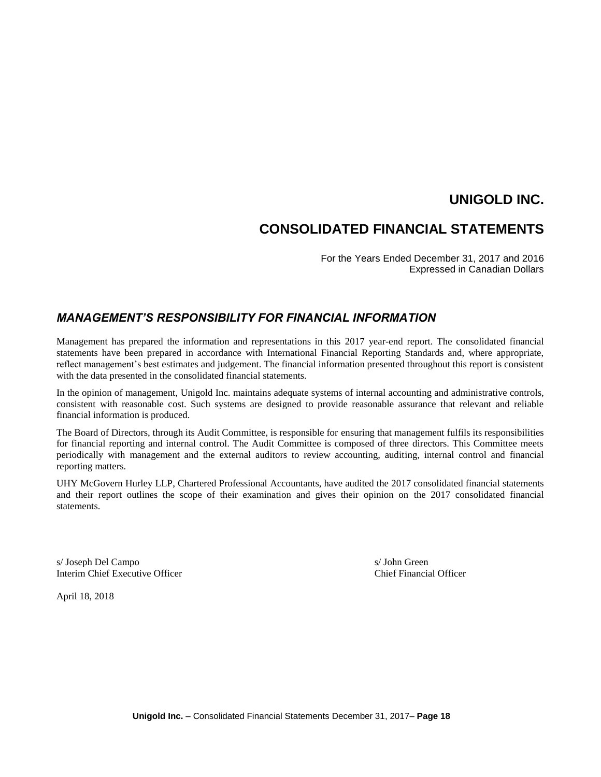# **CONSOLIDATED FINANCIAL STATEMENTS**

For the Years Ended December 31, 2017 and 2016 Expressed in Canadian Dollars

# <span id="page-20-1"></span><span id="page-20-0"></span>*MANAGEMENT'S RESPONSIBILITY FOR FINANCIAL INFORMATION*

Management has prepared the information and representations in this 2017 year-end report. The consolidated financial statements have been prepared in accordance with International Financial Reporting Standards and, where appropriate, reflect management's best estimates and judgement. The financial information presented throughout this report is consistent with the data presented in the consolidated financial statements.

In the opinion of management, Unigold Inc. maintains adequate systems of internal accounting and administrative controls, consistent with reasonable cost. Such systems are designed to provide reasonable assurance that relevant and reliable financial information is produced.

The Board of Directors, through its Audit Committee, is responsible for ensuring that management fulfils its responsibilities for financial reporting and internal control. The Audit Committee is composed of three directors. This Committee meets periodically with management and the external auditors to review accounting, auditing, internal control and financial reporting matters.

UHY McGovern Hurley LLP, Chartered Professional Accountants, have audited the 2017 consolidated financial statements and their report outlines the scope of their examination and gives their opinion on the 2017 consolidated financial statements.

s/ Joseph Del Campo s/ John Green Interim Chief Executive Officer **Chief Financial Officer** Chief Financial Officer

April 18, 2018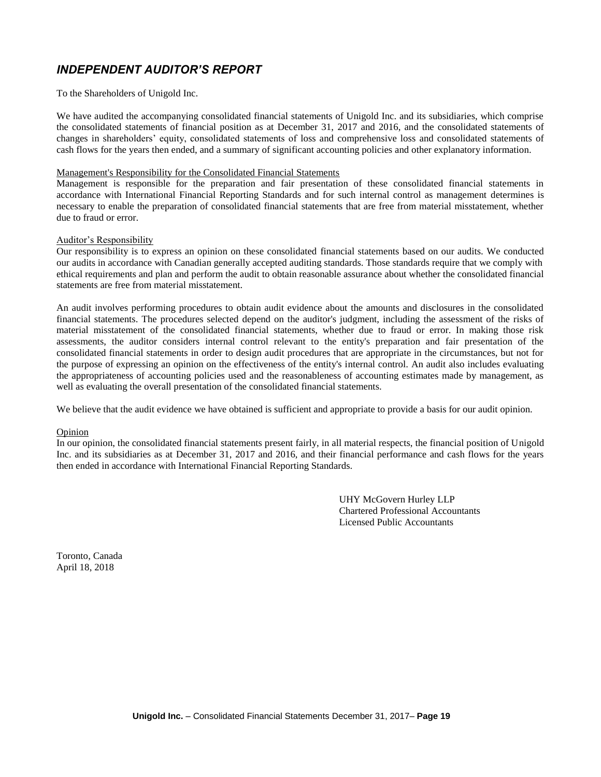# <span id="page-21-0"></span>*INDEPENDENT AUDITOR'S REPORT*

#### To the Shareholders of Unigold Inc.

We have audited the accompanying consolidated financial statements of Unigold Inc. and its subsidiaries, which comprise the consolidated statements of financial position as at December 31, 2017 and 2016, and the consolidated statements of changes in shareholders' equity, consolidated statements of loss and comprehensive loss and consolidated statements of cash flows for the years then ended, and a summary of significant accounting policies and other explanatory information.

#### Management's Responsibility for the Consolidated Financial Statements

Management is responsible for the preparation and fair presentation of these consolidated financial statements in accordance with International Financial Reporting Standards and for such internal control as management determines is necessary to enable the preparation of consolidated financial statements that are free from material misstatement, whether due to fraud or error.

#### Auditor's Responsibility

Our responsibility is to express an opinion on these consolidated financial statements based on our audits. We conducted our audits in accordance with Canadian generally accepted auditing standards. Those standards require that we comply with ethical requirements and plan and perform the audit to obtain reasonable assurance about whether the consolidated financial statements are free from material misstatement.

An audit involves performing procedures to obtain audit evidence about the amounts and disclosures in the consolidated financial statements. The procedures selected depend on the auditor's judgment, including the assessment of the risks of material misstatement of the consolidated financial statements, whether due to fraud or error. In making those risk assessments, the auditor considers internal control relevant to the entity's preparation and fair presentation of the consolidated financial statements in order to design audit procedures that are appropriate in the circumstances, but not for the purpose of expressing an opinion on the effectiveness of the entity's internal control. An audit also includes evaluating the appropriateness of accounting policies used and the reasonableness of accounting estimates made by management, as well as evaluating the overall presentation of the consolidated financial statements.

We believe that the audit evidence we have obtained is sufficient and appropriate to provide a basis for our audit opinion.

#### **Opinion**

In our opinion, the consolidated financial statements present fairly, in all material respects, the financial position of Unigold Inc. and its subsidiaries as at December 31, 2017 and 2016, and their financial performance and cash flows for the years then ended in accordance with International Financial Reporting Standards.

> UHY McGovern Hurley LLP Chartered Professional Accountants Licensed Public Accountants

Toronto, Canada April 18, 2018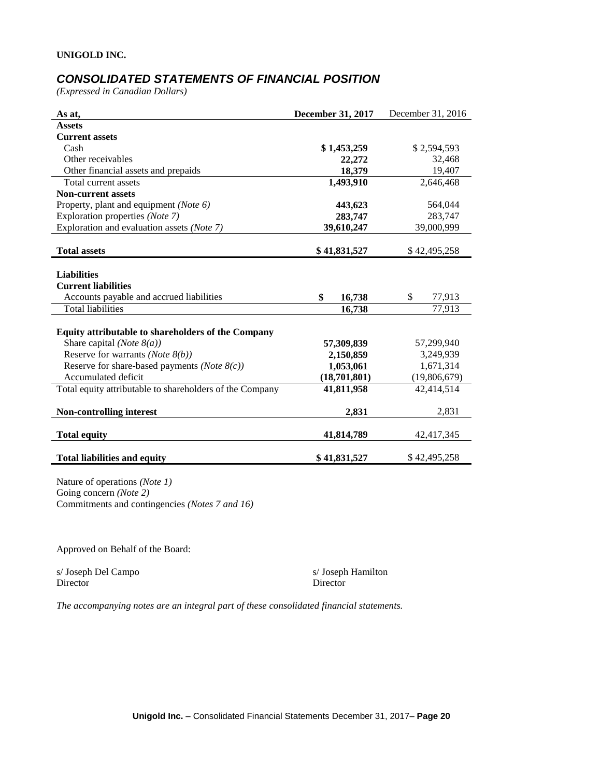# <span id="page-22-0"></span>*CONSOLIDATED STATEMENTS OF FINANCIAL POSITION*

*(Expressed in Canadian Dollars)*

| As at,                                                   | <b>December 31, 2017</b> | December 31, 2016 |
|----------------------------------------------------------|--------------------------|-------------------|
| <b>Assets</b>                                            |                          |                   |
| <b>Current assets</b>                                    |                          |                   |
| Cash                                                     | \$1,453,259              | \$2,594,593       |
| Other receivables                                        | 22,272                   | 32,468            |
| Other financial assets and prepaids                      | 18,379                   | 19,407            |
| Total current assets                                     | 1,493,910                | 2,646,468         |
| <b>Non-current assets</b>                                |                          |                   |
| Property, plant and equipment (Note 6)                   | 443,623                  | 564,044           |
| Exploration properties (Note 7)                          | 283,747                  | 283,747           |
| Exploration and evaluation assets (Note 7)               | 39,610,247               | 39,000,999        |
|                                                          |                          |                   |
| <b>Total assets</b>                                      | \$41,831,527             | \$42,495,258      |
|                                                          |                          |                   |
| <b>Liabilities</b>                                       |                          |                   |
| <b>Current liabilities</b>                               |                          |                   |
| Accounts payable and accrued liabilities                 | \$<br>16,738             | \$<br>77,913      |
| <b>Total liabilities</b>                                 | 16,738                   | 77,913            |
|                                                          |                          |                   |
| Equity attributable to shareholders of the Company       |                          |                   |
| Share capital ( <i>Note</i> $8(a)$ )                     | 57,309,839               | 57,299,940        |
| Reserve for warrants ( <i>Note</i> $8(b)$ )              | 2,150,859                | 3,249,939         |
| Reserve for share-based payments ( <i>Note</i> $8(c)$ )  | 1,053,061                | 1,671,314         |
| Accumulated deficit                                      | (18,701,801)             | (19,806,679)      |
| Total equity attributable to shareholders of the Company | 41,811,958               | 42,414,514        |
|                                                          |                          |                   |
| <b>Non-controlling interest</b>                          | 2,831                    | 2,831             |
|                                                          |                          |                   |
| <b>Total equity</b>                                      | 41,814,789               | 42,417,345        |
|                                                          |                          |                   |
| <b>Total liabilities and equity</b>                      | \$41,831,527             | \$42,495,258      |

Nature of operations *(Note 1)* Going concern *(Note 2)* Commitments and contingencies *(Notes 7 and 16)*

Approved on Behalf of the Board:

s/ Joseph Del Campo s/ Joseph Hamilton<br>Director Director

Director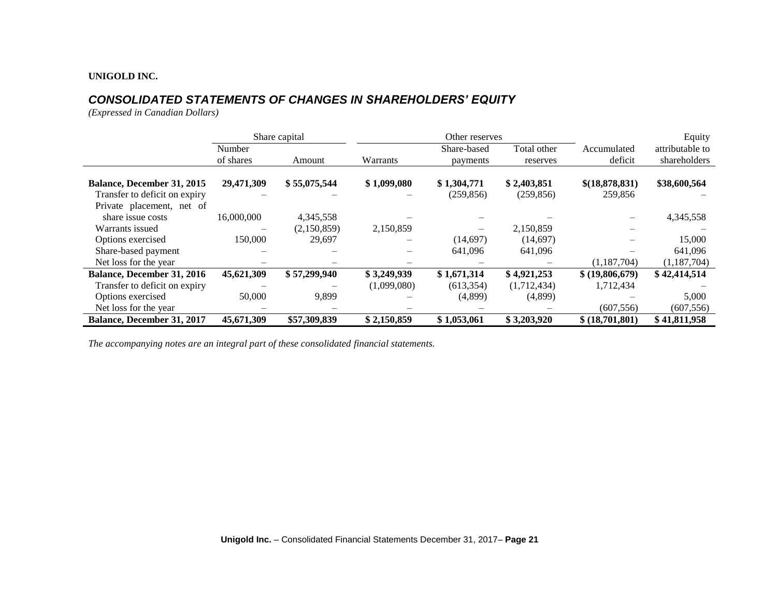# *CONSOLIDATED STATEMENTS OF CHANGES IN SHAREHOLDERS' EQUITY*

*(Expressed in Canadian Dollars)*

<span id="page-23-0"></span>

|                                   |            | Share capital | Other reserves |             |             |                 | Equity          |
|-----------------------------------|------------|---------------|----------------|-------------|-------------|-----------------|-----------------|
|                                   | Number     |               |                | Share-based | Total other | Accumulated     | attributable to |
|                                   | of shares  | Amount        | Warrants       | payments    | reserves    | deficit         | shareholders    |
|                                   |            |               |                |             |             |                 |                 |
| <b>Balance, December 31, 2015</b> | 29,471,309 | \$55,075,544  | \$1,099,080    | \$1,304,771 | \$2,403,851 | \$(18,878,831)  | \$38,600,564    |
| Transfer to deficit on expiry     |            |               |                | (259, 856)  | (259, 856)  | 259,856         |                 |
| Private placement, net of         |            |               |                |             |             |                 |                 |
| share issue costs                 | 16,000,000 | 4,345,558     |                |             |             |                 | 4,345,558       |
| Warrants issued                   |            | (2,150,859)   | 2,150,859      |             | 2,150,859   |                 |                 |
| Options exercised                 | 150,000    | 29,697        |                | (14,697)    | (14,697)    |                 | 15,000          |
| Share-based payment               |            |               |                | 641,096     | 641,096     |                 | 641,096         |
| Net loss for the year             |            |               |                |             |             | (1,187,704)     | (1,187,704)     |
| <b>Balance, December 31, 2016</b> | 45,621,309 | \$57,299,940  | \$3,249,939    | \$1,671,314 | \$4,921,253 | \$ (19,806,679) | \$42,414,514    |
| Transfer to deficit on expiry     |            |               | (1,099,080)    | (613, 354)  | (1,712,434) | 1,712,434       |                 |
| Options exercised                 | 50,000     | 9,899         |                | (4,899)     | (4,899)     |                 | 5,000           |
| Net loss for the year             |            |               |                |             |             | (607, 556)      | (607, 556)      |
| <b>Balance, December 31, 2017</b> | 45,671,309 | \$57,309,839  | \$2,150,859    | \$1,053,061 | \$3,203,920 | \$(18,701,801)  | \$41,811,958    |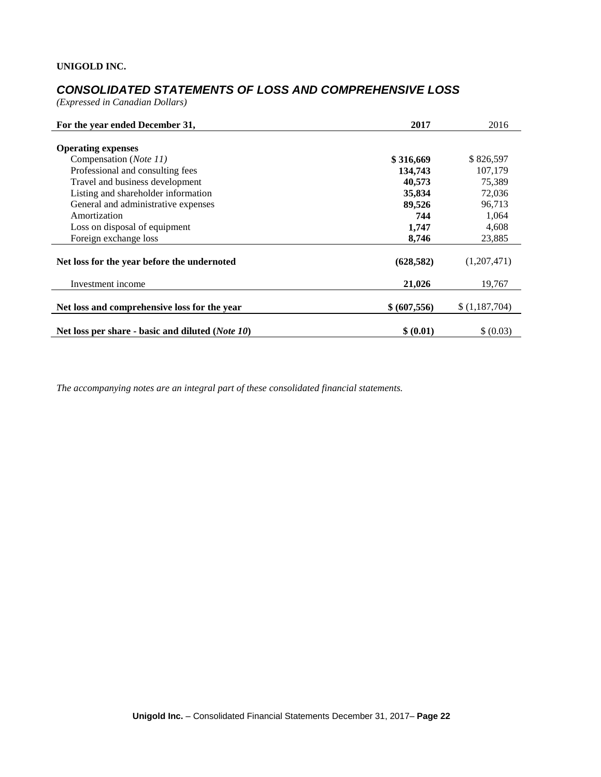# <span id="page-24-0"></span>*CONSOLIDATED STATEMENTS OF LOSS AND COMPREHENSIVE LOSS*

*(Expressed in Canadian Dollars)* 

| For the year ended December 31,                  | 2017         | 2016          |
|--------------------------------------------------|--------------|---------------|
|                                                  |              |               |
| <b>Operating expenses</b>                        |              |               |
| Compensation (Note 11)                           | \$316,669    | \$826,597     |
| Professional and consulting fees                 | 134,743      | 107,179       |
| Travel and business development                  | 40,573       | 75,389        |
| Listing and shareholder information              | 35,834       | 72,036        |
| General and administrative expenses              | 89,526       | 96,713        |
| Amortization                                     | 744          | 1,064         |
| Loss on disposal of equipment                    | 1,747        | 4,608         |
| Foreign exchange loss                            | 8,746        | 23,885        |
|                                                  |              |               |
| Net loss for the year before the undernoted      | (628, 582)   | (1,207,471)   |
| Investment income                                | 21,026       | 19,767        |
|                                                  |              |               |
| Net loss and comprehensive loss for the year     | \$ (607,556) | \$(1,187,704) |
|                                                  |              |               |
| Net loss per share - basic and diluted (Note 10) | \$ (0.01)    | \$ (0.03)     |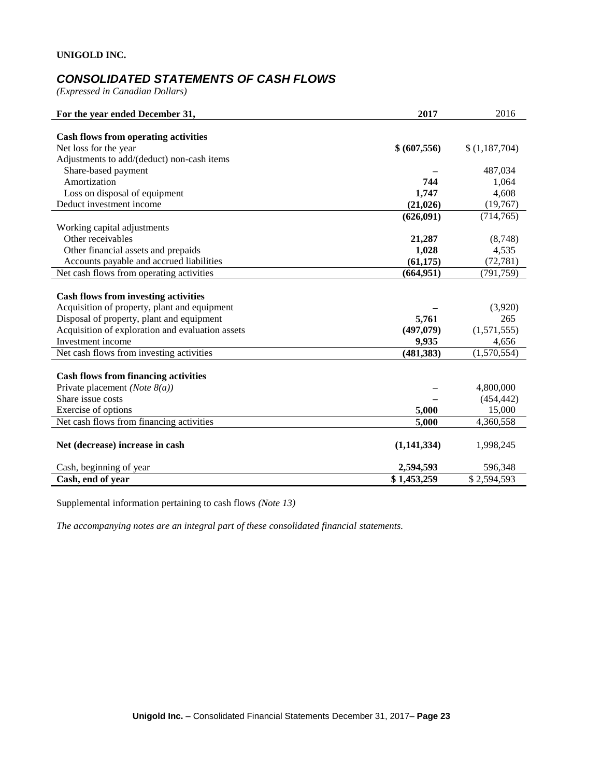# <span id="page-25-0"></span>*CONSOLIDATED STATEMENTS OF CASH FLOWS*

*(Expressed in Canadian Dollars)* 

| For the year ended December 31,                  | 2017         | 2016          |
|--------------------------------------------------|--------------|---------------|
|                                                  |              |               |
| <b>Cash flows from operating activities</b>      |              |               |
| Net loss for the year                            | \$ (607,556) | \$(1,187,704) |
| Adjustments to add/(deduct) non-cash items       |              |               |
| Share-based payment                              |              | 487,034       |
| Amortization                                     | 744          | 1,064         |
| Loss on disposal of equipment                    | 1,747        | 4,608         |
| Deduct investment income                         | (21, 026)    | (19,767)      |
|                                                  | (626,091)    | (714, 765)    |
| Working capital adjustments                      |              |               |
| Other receivables                                | 21,287       | (8,748)       |
| Other financial assets and prepaids              | 1,028        | 4,535         |
| Accounts payable and accrued liabilities         | (61, 175)    | (72, 781)     |
| Net cash flows from operating activities         | (664, 951)   | (791, 759)    |
|                                                  |              |               |
| <b>Cash flows from investing activities</b>      |              |               |
| Acquisition of property, plant and equipment     |              | (3,920)       |
| Disposal of property, plant and equipment        | 5,761        | 265           |
| Acquisition of exploration and evaluation assets | (497,079)    | (1,571,555)   |
| Investment income                                | 9,935        | 4,656         |
| Net cash flows from investing activities         | (481, 383)   | (1,570,554)   |
|                                                  |              |               |
| <b>Cash flows from financing activities</b>      |              |               |
| Private placement (Note $8(a)$ )                 |              | 4,800,000     |
| Share issue costs                                |              | (454, 442)    |
| Exercise of options                              | 5,000        | 15,000        |
| Net cash flows from financing activities         | 5,000        | 4,360,558     |
|                                                  |              |               |
| Net (decrease) increase in cash                  | (1,141,334)  | 1,998,245     |
| Cash, beginning of year                          | 2,594,593    | 596,348       |
| Cash, end of year                                | \$1,453,259  | \$2,594,593   |

Supplemental information pertaining to cash flows *(Note 13)*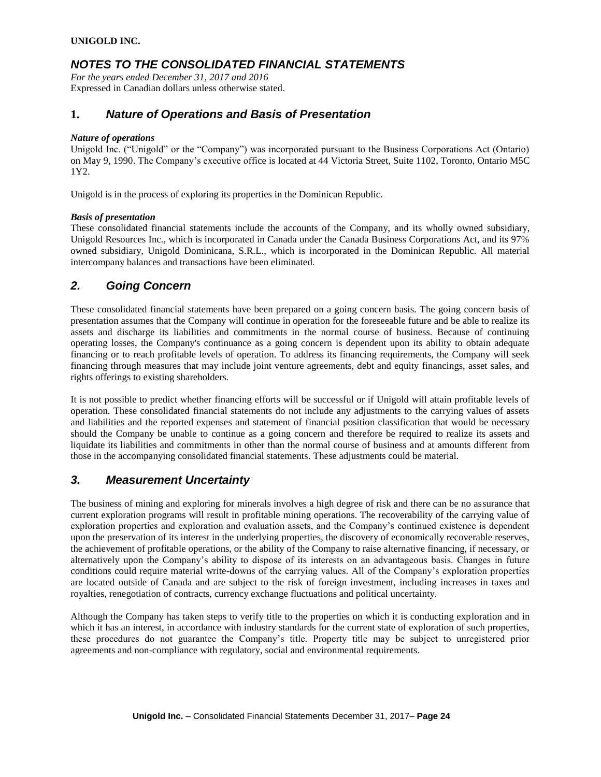# *NOTES TO THE CONSOLIDATED FINANCIAL STATEMENTS*

*For the years ended December 31, 2017 and 2016* Expressed in Canadian dollars unless otherwise stated.

# <span id="page-26-0"></span>**1.** *Nature of Operations and Basis of Presentation*

### *Nature of operations*

Unigold Inc. ("Unigold" or the "Company") was incorporated pursuant to the Business Corporations Act (Ontario) on May 9, 1990. The Company's executive office is located at 44 Victoria Street, Suite 1102, Toronto, Ontario M5C 1Y2.

Unigold is in the process of exploring its properties in the Dominican Republic.

#### *Basis of presentation*

These consolidated financial statements include the accounts of the Company, and its wholly owned subsidiary, Unigold Resources Inc., which is incorporated in Canada under the Canada Business Corporations Act, and its 97% owned subsidiary, Unigold Dominicana, S.R.L., which is incorporated in the Dominican Republic. All material intercompany balances and transactions have been eliminated.

# <span id="page-26-1"></span>*2. Going Concern*

These consolidated financial statements have been prepared on a going concern basis. The going concern basis of presentation assumes that the Company will continue in operation for the foreseeable future and be able to realize its assets and discharge its liabilities and commitments in the normal course of business. Because of continuing operating losses, the Company's continuance as a going concern is dependent upon its ability to obtain adequate financing or to reach profitable levels of operation. To address its financing requirements, the Company will seek financing through measures that may include joint venture agreements, debt and equity financings, asset sales, and rights offerings to existing shareholders.

It is not possible to predict whether financing efforts will be successful or if Unigold will attain profitable levels of operation. These consolidated financial statements do not include any adjustments to the carrying values of assets and liabilities and the reported expenses and statement of financial position classification that would be necessary should the Company be unable to continue as a going concern and therefore be required to realize its assets and liquidate its liabilities and commitments in other than the normal course of business and at amounts different from those in the accompanying consolidated financial statements. These adjustments could be material.

# <span id="page-26-2"></span>*3. Measurement Uncertainty*

The business of mining and exploring for minerals involves a high degree of risk and there can be no assurance that current exploration programs will result in profitable mining operations. The recoverability of the carrying value of exploration properties and exploration and evaluation assets, and the Company's continued existence is dependent upon the preservation of its interest in the underlying properties, the discovery of economically recoverable reserves, the achievement of profitable operations, or the ability of the Company to raise alternative financing, if necessary, or alternatively upon the Company's ability to dispose of its interests on an advantageous basis. Changes in future conditions could require material write-downs of the carrying values. All of the Company's exploration properties are located outside of Canada and are subject to the risk of foreign investment, including increases in taxes and royalties, renegotiation of contracts, currency exchange fluctuations and political uncertainty.

Although the Company has taken steps to verify title to the properties on which it is conducting exploration and in which it has an interest, in accordance with industry standards for the current state of exploration of such properties, these procedures do not guarantee the Company's title. Property title may be subject to unregistered prior agreements and non-compliance with regulatory, social and environmental requirements.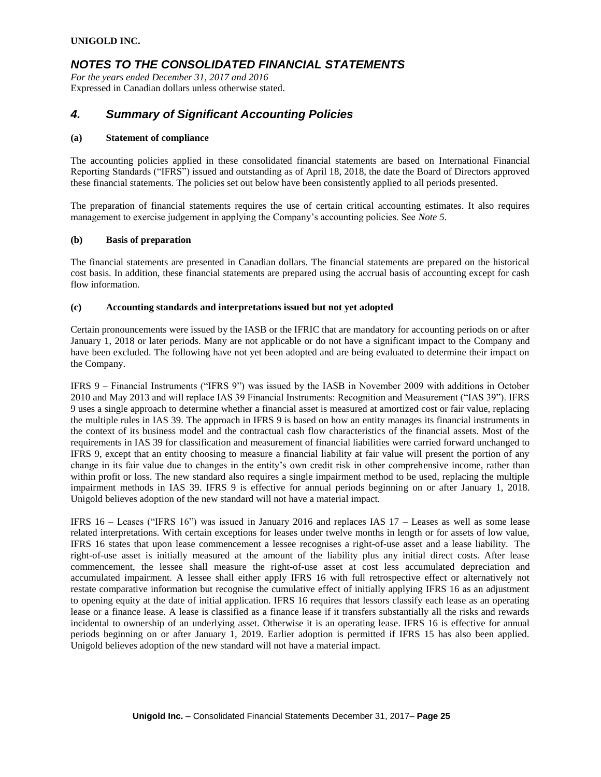# *NOTES TO THE CONSOLIDATED FINANCIAL STATEMENTS*

*For the years ended December 31, 2017 and 2016* Expressed in Canadian dollars unless otherwise stated.

# <span id="page-27-0"></span>*4. Summary of Significant Accounting Policies*

### **(a) Statement of compliance**

The accounting policies applied in these consolidated financial statements are based on International Financial Reporting Standards ("IFRS") issued and outstanding as of April 18, 2018, the date the Board of Directors approved these financial statements. The policies set out below have been consistently applied to all periods presented.

The preparation of financial statements requires the use of certain critical accounting estimates. It also requires management to exercise judgement in applying the Company's accounting policies. See *Note 5*.

### **(b) Basis of preparation**

The financial statements are presented in Canadian dollars. The financial statements are prepared on the historical cost basis. In addition, these financial statements are prepared using the accrual basis of accounting except for cash flow information.

### **(c) Accounting standards and interpretations issued but not yet adopted**

Certain pronouncements were issued by the IASB or the IFRIC that are mandatory for accounting periods on or after January 1, 2018 or later periods. Many are not applicable or do not have a significant impact to the Company and have been excluded. The following have not yet been adopted and are being evaluated to determine their impact on the Company.

IFRS 9 – Financial Instruments ("IFRS 9") was issued by the IASB in November 2009 with additions in October 2010 and May 2013 and will replace IAS 39 Financial Instruments: Recognition and Measurement ("IAS 39"). IFRS 9 uses a single approach to determine whether a financial asset is measured at amortized cost or fair value, replacing the multiple rules in IAS 39. The approach in IFRS 9 is based on how an entity manages its financial instruments in the context of its business model and the contractual cash flow characteristics of the financial assets. Most of the requirements in IAS 39 for classification and measurement of financial liabilities were carried forward unchanged to IFRS 9, except that an entity choosing to measure a financial liability at fair value will present the portion of any change in its fair value due to changes in the entity's own credit risk in other comprehensive income, rather than within profit or loss. The new standard also requires a single impairment method to be used, replacing the multiple impairment methods in IAS 39. IFRS 9 is effective for annual periods beginning on or after January 1, 2018. Unigold believes adoption of the new standard will not have a material impact.

IFRS 16 – Leases ("IFRS 16") was issued in January 2016 and replaces IAS 17 – Leases as well as some lease related interpretations. With certain exceptions for leases under twelve months in length or for assets of low value, IFRS 16 states that upon lease commencement a lessee recognises a right-of-use asset and a lease liability. The right-of-use asset is initially measured at the amount of the liability plus any initial direct costs. After lease commencement, the lessee shall measure the right-of-use asset at cost less accumulated depreciation and accumulated impairment. A lessee shall either apply IFRS 16 with full retrospective effect or alternatively not restate comparative information but recognise the cumulative effect of initially applying IFRS 16 as an adjustment to opening equity at the date of initial application. IFRS 16 requires that lessors classify each lease as an operating lease or a finance lease. A lease is classified as a finance lease if it transfers substantially all the risks and rewards incidental to ownership of an underlying asset. Otherwise it is an operating lease. IFRS 16 is effective for annual periods beginning on or after January 1, 2019. Earlier adoption is permitted if IFRS 15 has also been applied. Unigold believes adoption of the new standard will not have a material impact.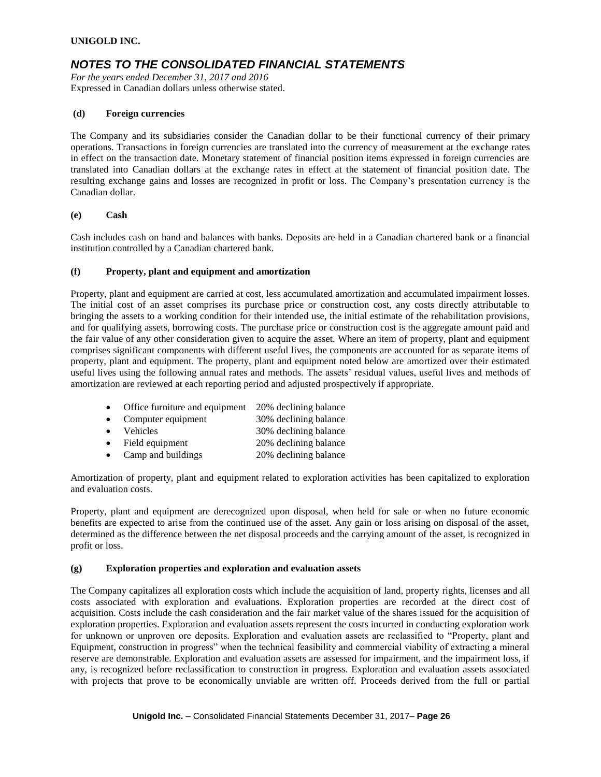# *NOTES TO THE CONSOLIDATED FINANCIAL STATEMENTS*

*For the years ended December 31, 2017 and 2016* Expressed in Canadian dollars unless otherwise stated.

### **(d) Foreign currencies**

The Company and its subsidiaries consider the Canadian dollar to be their functional currency of their primary operations. Transactions in foreign currencies are translated into the currency of measurement at the exchange rates in effect on the transaction date. Monetary statement of financial position items expressed in foreign currencies are translated into Canadian dollars at the exchange rates in effect at the statement of financial position date. The resulting exchange gains and losses are recognized in profit or loss. The Company's presentation currency is the Canadian dollar.

### **(e) Cash**

Cash includes cash on hand and balances with banks. Deposits are held in a Canadian chartered bank or a financial institution controlled by a Canadian chartered bank.

#### **(f) Property, plant and equipment and amortization**

Property, plant and equipment are carried at cost, less accumulated amortization and accumulated impairment losses. The initial cost of an asset comprises its purchase price or construction cost, any costs directly attributable to bringing the assets to a working condition for their intended use, the initial estimate of the rehabilitation provisions, and for qualifying assets, borrowing costs. The purchase price or construction cost is the aggregate amount paid and the fair value of any other consideration given to acquire the asset. Where an item of property, plant and equipment comprises significant components with different useful lives, the components are accounted for as separate items of property, plant and equipment. The property, plant and equipment noted below are amortized over their estimated useful lives using the following annual rates and methods. The assets' residual values, useful lives and methods of amortization are reviewed at each reporting period and adjusted prospectively if appropriate.

- Office furniture and equipment 20% declining balance
- Computer equipment 30% declining balance
- Vehicles 30% declining balance
- Field equipment 20% declining balance
- Camp and buildings 20% declining balance

Amortization of property, plant and equipment related to exploration activities has been capitalized to exploration and evaluation costs.

Property, plant and equipment are derecognized upon disposal, when held for sale or when no future economic benefits are expected to arise from the continued use of the asset. Any gain or loss arising on disposal of the asset, determined as the difference between the net disposal proceeds and the carrying amount of the asset, is recognized in profit or loss.

#### **(g) Exploration properties and exploration and evaluation assets**

The Company capitalizes all exploration costs which include the acquisition of land, property rights, licenses and all costs associated with exploration and evaluations. Exploration properties are recorded at the direct cost of acquisition. Costs include the cash consideration and the fair market value of the shares issued for the acquisition of exploration properties. Exploration and evaluation assets represent the costs incurred in conducting exploration work for unknown or unproven ore deposits. Exploration and evaluation assets are reclassified to "Property, plant and Equipment, construction in progress" when the technical feasibility and commercial viability of extracting a mineral reserve are demonstrable. Exploration and evaluation assets are assessed for impairment, and the impairment loss, if any, is recognized before reclassification to construction in progress. Exploration and evaluation assets associated with projects that prove to be economically unviable are written off. Proceeds derived from the full or partial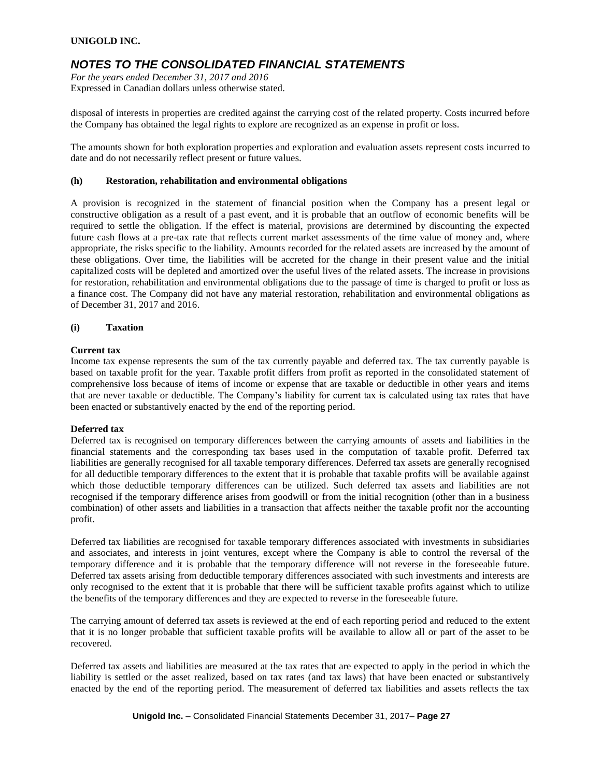# *NOTES TO THE CONSOLIDATED FINANCIAL STATEMENTS*

*For the years ended December 31, 2017 and 2016* Expressed in Canadian dollars unless otherwise stated.

disposal of interests in properties are credited against the carrying cost of the related property. Costs incurred before the Company has obtained the legal rights to explore are recognized as an expense in profit or loss.

The amounts shown for both exploration properties and exploration and evaluation assets represent costs incurred to date and do not necessarily reflect present or future values.

#### **(h) Restoration, rehabilitation and environmental obligations**

A provision is recognized in the statement of financial position when the Company has a present legal or constructive obligation as a result of a past event, and it is probable that an outflow of economic benefits will be required to settle the obligation. If the effect is material, provisions are determined by discounting the expected future cash flows at a pre-tax rate that reflects current market assessments of the time value of money and, where appropriate, the risks specific to the liability. Amounts recorded for the related assets are increased by the amount of these obligations. Over time, the liabilities will be accreted for the change in their present value and the initial capitalized costs will be depleted and amortized over the useful lives of the related assets. The increase in provisions for restoration, rehabilitation and environmental obligations due to the passage of time is charged to profit or loss as a finance cost. The Company did not have any material restoration, rehabilitation and environmental obligations as of December 31, 2017 and 2016.

#### **(i) Taxation**

#### **Current tax**

Income tax expense represents the sum of the tax currently payable and deferred tax. The tax currently payable is based on taxable profit for the year. Taxable profit differs from profit as reported in the consolidated statement of comprehensive loss because of items of income or expense that are taxable or deductible in other years and items that are never taxable or deductible. The Company's liability for current tax is calculated using tax rates that have been enacted or substantively enacted by the end of the reporting period.

### **Deferred tax**

Deferred tax is recognised on temporary differences between the carrying amounts of assets and liabilities in the financial statements and the corresponding tax bases used in the computation of taxable profit. Deferred tax liabilities are generally recognised for all taxable temporary differences. Deferred tax assets are generally recognised for all deductible temporary differences to the extent that it is probable that taxable profits will be available against which those deductible temporary differences can be utilized. Such deferred tax assets and liabilities are not recognised if the temporary difference arises from goodwill or from the initial recognition (other than in a business combination) of other assets and liabilities in a transaction that affects neither the taxable profit nor the accounting profit.

Deferred tax liabilities are recognised for taxable temporary differences associated with investments in subsidiaries and associates, and interests in joint ventures, except where the Company is able to control the reversal of the temporary difference and it is probable that the temporary difference will not reverse in the foreseeable future. Deferred tax assets arising from deductible temporary differences associated with such investments and interests are only recognised to the extent that it is probable that there will be sufficient taxable profits against which to utilize the benefits of the temporary differences and they are expected to reverse in the foreseeable future.

The carrying amount of deferred tax assets is reviewed at the end of each reporting period and reduced to the extent that it is no longer probable that sufficient taxable profits will be available to allow all or part of the asset to be recovered.

Deferred tax assets and liabilities are measured at the tax rates that are expected to apply in the period in which the liability is settled or the asset realized, based on tax rates (and tax laws) that have been enacted or substantively enacted by the end of the reporting period. The measurement of deferred tax liabilities and assets reflects the tax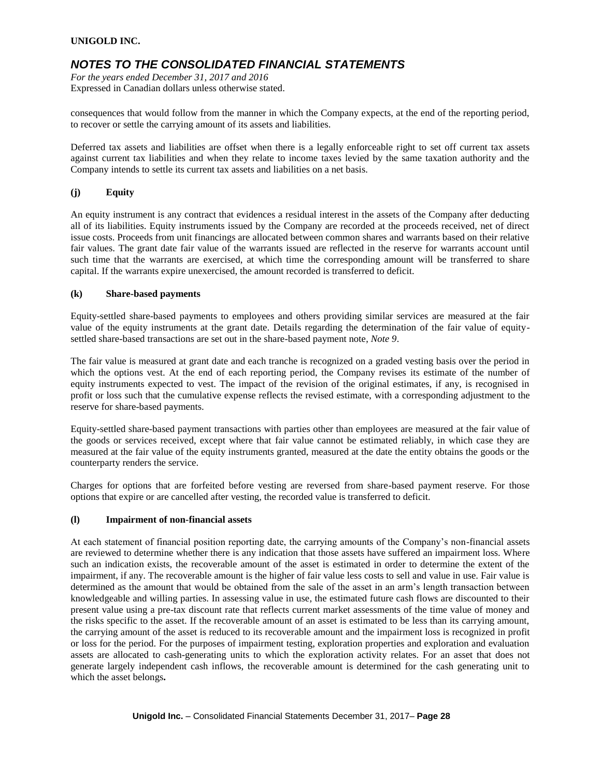# *NOTES TO THE CONSOLIDATED FINANCIAL STATEMENTS*

*For the years ended December 31, 2017 and 2016* Expressed in Canadian dollars unless otherwise stated.

consequences that would follow from the manner in which the Company expects, at the end of the reporting period, to recover or settle the carrying amount of its assets and liabilities.

Deferred tax assets and liabilities are offset when there is a legally enforceable right to set off current tax assets against current tax liabilities and when they relate to income taxes levied by the same taxation authority and the Company intends to settle its current tax assets and liabilities on a net basis.

### **(j) Equity**

An equity instrument is any contract that evidences a residual interest in the assets of the Company after deducting all of its liabilities. Equity instruments issued by the Company are recorded at the proceeds received, net of direct issue costs. Proceeds from unit financings are allocated between common shares and warrants based on their relative fair values. The grant date fair value of the warrants issued are reflected in the reserve for warrants account until such time that the warrants are exercised, at which time the corresponding amount will be transferred to share capital. If the warrants expire unexercised, the amount recorded is transferred to deficit.

#### **(k) Share-based payments**

Equity-settled share-based payments to employees and others providing similar services are measured at the fair value of the equity instruments at the grant date. Details regarding the determination of the fair value of equitysettled share-based transactions are set out in the share-based payment note, *Note 9*.

The fair value is measured at grant date and each tranche is recognized on a graded vesting basis over the period in which the options vest. At the end of each reporting period, the Company revises its estimate of the number of equity instruments expected to vest. The impact of the revision of the original estimates, if any, is recognised in profit or loss such that the cumulative expense reflects the revised estimate, with a corresponding adjustment to the reserve for share-based payments.

Equity-settled share-based payment transactions with parties other than employees are measured at the fair value of the goods or services received, except where that fair value cannot be estimated reliably, in which case they are measured at the fair value of the equity instruments granted, measured at the date the entity obtains the goods or the counterparty renders the service.

Charges for options that are forfeited before vesting are reversed from share-based payment reserve. For those options that expire or are cancelled after vesting, the recorded value is transferred to deficit.

### **(l) Impairment of non-financial assets**

At each statement of financial position reporting date, the carrying amounts of the Company's non-financial assets are reviewed to determine whether there is any indication that those assets have suffered an impairment loss. Where such an indication exists, the recoverable amount of the asset is estimated in order to determine the extent of the impairment, if any. The recoverable amount is the higher of fair value less costs to sell and value in use. Fair value is determined as the amount that would be obtained from the sale of the asset in an arm's length transaction between knowledgeable and willing parties. In assessing value in use, the estimated future cash flows are discounted to their present value using a pre-tax discount rate that reflects current market assessments of the time value of money and the risks specific to the asset. If the recoverable amount of an asset is estimated to be less than its carrying amount, the carrying amount of the asset is reduced to its recoverable amount and the impairment loss is recognized in profit or loss for the period. For the purposes of impairment testing, exploration properties and exploration and evaluation assets are allocated to cash-generating units to which the exploration activity relates. For an asset that does not generate largely independent cash inflows, the recoverable amount is determined for the cash generating unit to which the asset belongs**.**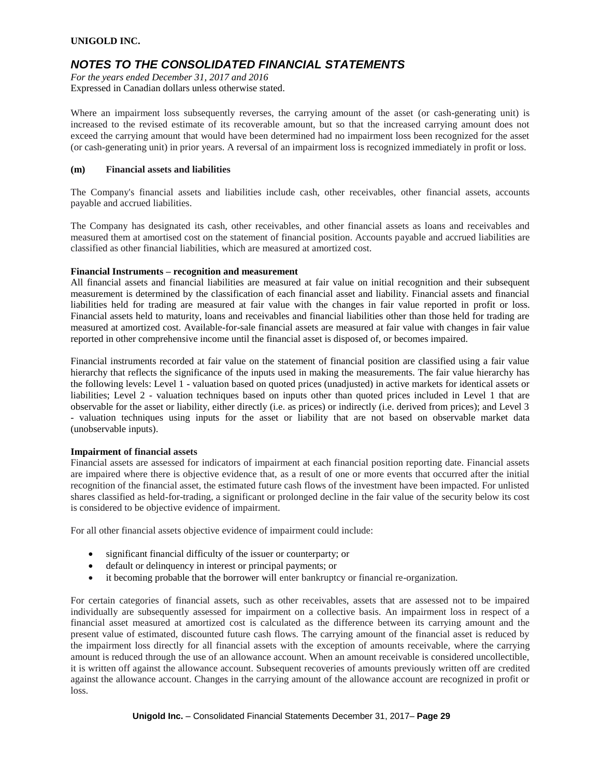# *NOTES TO THE CONSOLIDATED FINANCIAL STATEMENTS*

*For the years ended December 31, 2017 and 2016* Expressed in Canadian dollars unless otherwise stated.

Where an impairment loss subsequently reverses, the carrying amount of the asset (or cash-generating unit) is increased to the revised estimate of its recoverable amount, but so that the increased carrying amount does not exceed the carrying amount that would have been determined had no impairment loss been recognized for the asset (or cash-generating unit) in prior years. A reversal of an impairment loss is recognized immediately in profit or loss.

### **(m) Financial assets and liabilities**

The Company's financial assets and liabilities include cash, other receivables, other financial assets, accounts payable and accrued liabilities.

The Company has designated its cash, other receivables, and other financial assets as loans and receivables and measured them at amortised cost on the statement of financial position. Accounts payable and accrued liabilities are classified as other financial liabilities, which are measured at amortized cost.

#### **Financial Instruments – recognition and measurement**

All financial assets and financial liabilities are measured at fair value on initial recognition and their subsequent measurement is determined by the classification of each financial asset and liability. Financial assets and financial liabilities held for trading are measured at fair value with the changes in fair value reported in profit or loss. Financial assets held to maturity, loans and receivables and financial liabilities other than those held for trading are measured at amortized cost. Available-for-sale financial assets are measured at fair value with changes in fair value reported in other comprehensive income until the financial asset is disposed of, or becomes impaired.

Financial instruments recorded at fair value on the statement of financial position are classified using a fair value hierarchy that reflects the significance of the inputs used in making the measurements. The fair value hierarchy has the following levels: Level 1 - valuation based on quoted prices (unadjusted) in active markets for identical assets or liabilities; Level 2 - valuation techniques based on inputs other than quoted prices included in Level 1 that are observable for the asset or liability, either directly (i.e. as prices) or indirectly (i.e. derived from prices); and Level 3 - valuation techniques using inputs for the asset or liability that are not based on observable market data (unobservable inputs).

#### **Impairment of financial assets**

Financial assets are assessed for indicators of impairment at each financial position reporting date. Financial assets are impaired where there is objective evidence that, as a result of one or more events that occurred after the initial recognition of the financial asset, the estimated future cash flows of the investment have been impacted. For unlisted shares classified as held-for-trading, a significant or prolonged decline in the fair value of the security below its cost is considered to be objective evidence of impairment.

For all other financial assets objective evidence of impairment could include:

- significant financial difficulty of the issuer or counterparty; or
- default or delinquency in interest or principal payments; or
- it becoming probable that the borrower will enter bankruptcy or financial re-organization.

For certain categories of financial assets, such as other receivables, assets that are assessed not to be impaired individually are subsequently assessed for impairment on a collective basis. An impairment loss in respect of a financial asset measured at amortized cost is calculated as the difference between its carrying amount and the present value of estimated, discounted future cash flows. The carrying amount of the financial asset is reduced by the impairment loss directly for all financial assets with the exception of amounts receivable, where the carrying amount is reduced through the use of an allowance account. When an amount receivable is considered uncollectible, it is written off against the allowance account. Subsequent recoveries of amounts previously written off are credited against the allowance account. Changes in the carrying amount of the allowance account are recognized in profit or loss.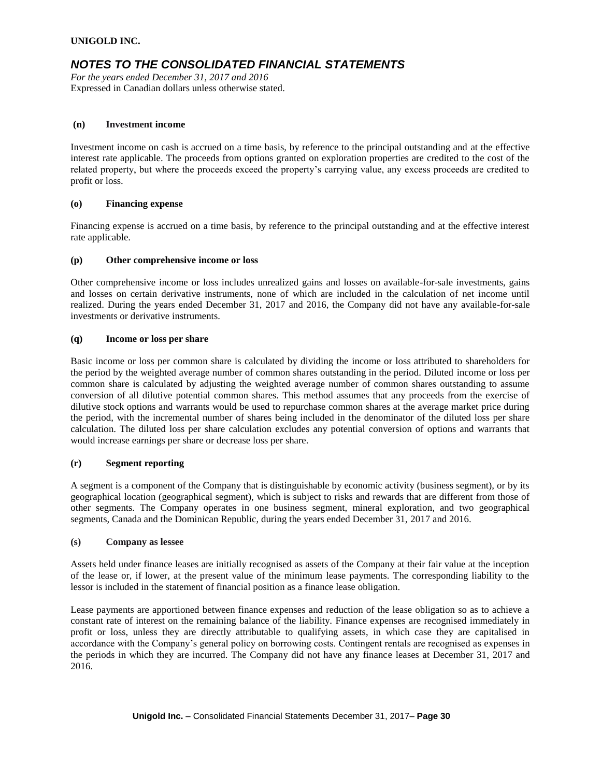# *NOTES TO THE CONSOLIDATED FINANCIAL STATEMENTS*

*For the years ended December 31, 2017 and 2016* Expressed in Canadian dollars unless otherwise stated.

#### **(n) Investment income**

Investment income on cash is accrued on a time basis, by reference to the principal outstanding and at the effective interest rate applicable. The proceeds from options granted on exploration properties are credited to the cost of the related property, but where the proceeds exceed the property's carrying value, any excess proceeds are credited to profit or loss.

### **(o) Financing expense**

Financing expense is accrued on a time basis, by reference to the principal outstanding and at the effective interest rate applicable.

#### **(p) Other comprehensive income or loss**

Other comprehensive income or loss includes unrealized gains and losses on available-for-sale investments, gains and losses on certain derivative instruments, none of which are included in the calculation of net income until realized. During the years ended December 31, 2017 and 2016, the Company did not have any available-for-sale investments or derivative instruments.

### **(q) Income or loss per share**

Basic income or loss per common share is calculated by dividing the income or loss attributed to shareholders for the period by the weighted average number of common shares outstanding in the period. Diluted income or loss per common share is calculated by adjusting the weighted average number of common shares outstanding to assume conversion of all dilutive potential common shares. This method assumes that any proceeds from the exercise of dilutive stock options and warrants would be used to repurchase common shares at the average market price during the period, with the incremental number of shares being included in the denominator of the diluted loss per share calculation. The diluted loss per share calculation excludes any potential conversion of options and warrants that would increase earnings per share or decrease loss per share.

#### **(r) Segment reporting**

A segment is a component of the Company that is distinguishable by economic activity (business segment), or by its geographical location (geographical segment), which is subject to risks and rewards that are different from those of other segments. The Company operates in one business segment, mineral exploration, and two geographical segments, Canada and the Dominican Republic, during the years ended December 31, 2017 and 2016.

#### **(s) Company as lessee**

Assets held under finance leases are initially recognised as assets of the Company at their fair value at the inception of the lease or, if lower, at the present value of the minimum lease payments. The corresponding liability to the lessor is included in the statement of financial position as a finance lease obligation.

Lease payments are apportioned between finance expenses and reduction of the lease obligation so as to achieve a constant rate of interest on the remaining balance of the liability. Finance expenses are recognised immediately in profit or loss, unless they are directly attributable to qualifying assets, in which case they are capitalised in accordance with the Company's general policy on borrowing costs. Contingent rentals are recognised as expenses in the periods in which they are incurred. The Company did not have any finance leases at December 31, 2017 and 2016.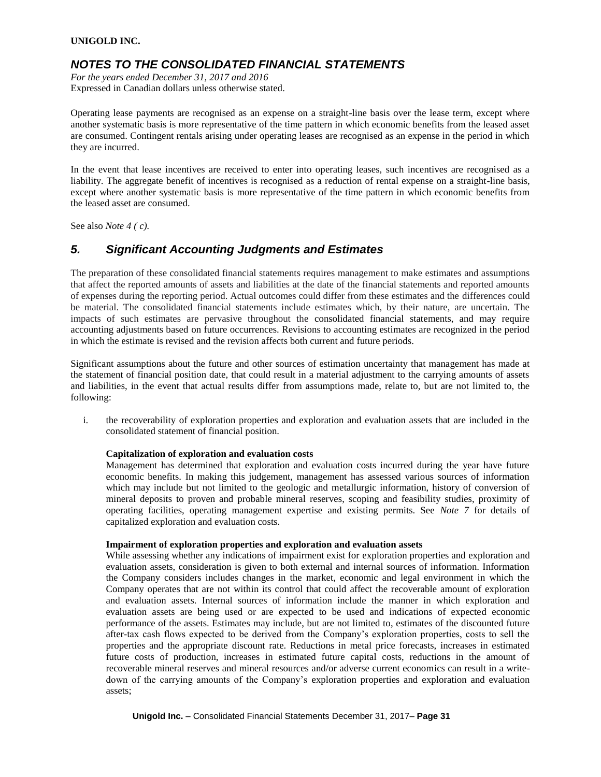# *NOTES TO THE CONSOLIDATED FINANCIAL STATEMENTS*

*For the years ended December 31, 2017 and 2016* Expressed in Canadian dollars unless otherwise stated.

Operating lease payments are recognised as an expense on a straight-line basis over the lease term, except where another systematic basis is more representative of the time pattern in which economic benefits from the leased asset are consumed. Contingent rentals arising under operating leases are recognised as an expense in the period in which they are incurred.

In the event that lease incentives are received to enter into operating leases, such incentives are recognised as a liability. The aggregate benefit of incentives is recognised as a reduction of rental expense on a straight-line basis, except where another systematic basis is more representative of the time pattern in which economic benefits from the leased asset are consumed.

See also *Note 4 ( c).*

# <span id="page-33-0"></span>*5. Significant Accounting Judgments and Estimates*

The preparation of these consolidated financial statements requires management to make estimates and assumptions that affect the reported amounts of assets and liabilities at the date of the financial statements and reported amounts of expenses during the reporting period. Actual outcomes could differ from these estimates and the differences could be material. The consolidated financial statements include estimates which, by their nature, are uncertain. The impacts of such estimates are pervasive throughout the consolidated financial statements, and may require accounting adjustments based on future occurrences. Revisions to accounting estimates are recognized in the period in which the estimate is revised and the revision affects both current and future periods.

Significant assumptions about the future and other sources of estimation uncertainty that management has made at the statement of financial position date, that could result in a material adjustment to the carrying amounts of assets and liabilities, in the event that actual results differ from assumptions made, relate to, but are not limited to, the following:

i. the recoverability of exploration properties and exploration and evaluation assets that are included in the consolidated statement of financial position.

#### **Capitalization of exploration and evaluation costs**

Management has determined that exploration and evaluation costs incurred during the year have future economic benefits. In making this judgement, management has assessed various sources of information which may include but not limited to the geologic and metallurgic information, history of conversion of mineral deposits to proven and probable mineral reserves, scoping and feasibility studies, proximity of operating facilities, operating management expertise and existing permits. See *Note 7* for details of capitalized exploration and evaluation costs.

#### **Impairment of exploration properties and exploration and evaluation assets**

While assessing whether any indications of impairment exist for exploration properties and exploration and evaluation assets, consideration is given to both external and internal sources of information. Information the Company considers includes changes in the market, economic and legal environment in which the Company operates that are not within its control that could affect the recoverable amount of exploration and evaluation assets. Internal sources of information include the manner in which exploration and evaluation assets are being used or are expected to be used and indications of expected economic performance of the assets. Estimates may include, but are not limited to, estimates of the discounted future after-tax cash flows expected to be derived from the Company's exploration properties, costs to sell the properties and the appropriate discount rate. Reductions in metal price forecasts, increases in estimated future costs of production, increases in estimated future capital costs, reductions in the amount of recoverable mineral reserves and mineral resources and/or adverse current economics can result in a writedown of the carrying amounts of the Company's exploration properties and exploration and evaluation assets;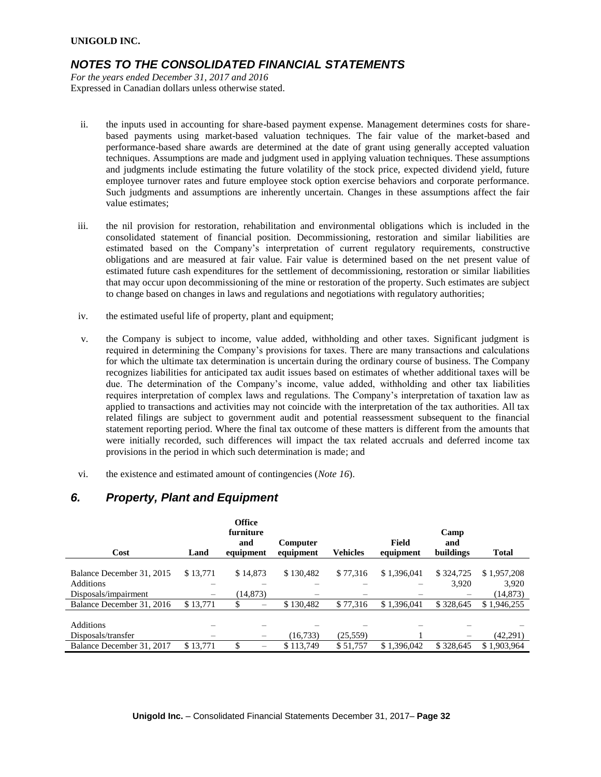# *NOTES TO THE CONSOLIDATED FINANCIAL STATEMENTS*

*For the years ended December 31, 2017 and 2016* Expressed in Canadian dollars unless otherwise stated.

- ii. the inputs used in accounting for share-based payment expense. Management determines costs for sharebased payments using market-based valuation techniques. The fair value of the market-based and performance-based share awards are determined at the date of grant using generally accepted valuation techniques. Assumptions are made and judgment used in applying valuation techniques. These assumptions and judgments include estimating the future volatility of the stock price, expected dividend yield, future employee turnover rates and future employee stock option exercise behaviors and corporate performance. Such judgments and assumptions are inherently uncertain. Changes in these assumptions affect the fair value estimates;
- iii. the nil provision for restoration, rehabilitation and environmental obligations which is included in the consolidated statement of financial position. Decommissioning, restoration and similar liabilities are estimated based on the Company's interpretation of current regulatory requirements, constructive obligations and are measured at fair value. Fair value is determined based on the net present value of estimated future cash expenditures for the settlement of decommissioning, restoration or similar liabilities that may occur upon decommissioning of the mine or restoration of the property. Such estimates are subject to change based on changes in laws and regulations and negotiations with regulatory authorities;
- iv. the estimated useful life of property, plant and equipment;
- v. the Company is subject to income, value added, withholding and other taxes. Significant judgment is required in determining the Company's provisions for taxes. There are many transactions and calculations for which the ultimate tax determination is uncertain during the ordinary course of business. The Company recognizes liabilities for anticipated tax audit issues based on estimates of whether additional taxes will be due. The determination of the Company's income, value added, withholding and other tax liabilities requires interpretation of complex laws and regulations. The Company's interpretation of taxation law as applied to transactions and activities may not coincide with the interpretation of the tax authorities. All tax related filings are subject to government audit and potential reassessment subsequent to the financial statement reporting period. Where the final tax outcome of these matters is different from the amounts that were initially recorded, such differences will impact the tax related accruals and deferred income tax provisions in the period in which such determination is made; and
- vi. the existence and estimated amount of contingencies (*Note 16*).

# <span id="page-34-0"></span>*6. Property, Plant and Equipment*

|                           |          | <b>Office</b><br>furniture<br>and | Computer  |                 | Field       | Camp<br>and |              |
|---------------------------|----------|-----------------------------------|-----------|-----------------|-------------|-------------|--------------|
| Cost                      | Land     | equipment                         | equipment | <b>Vehicles</b> | equipment   | buildings   | <b>Total</b> |
|                           |          |                                   |           |                 |             |             |              |
| Balance December 31, 2015 | \$13,771 | \$14,873                          | \$130,482 | \$77,316        | \$1,396,041 | \$324,725   | \$1,957,208  |
| <b>Additions</b>          |          |                                   |           |                 |             | 3.920       | 3.920        |
| Disposals/impairment      |          | (14, 873)                         |           |                 |             |             | (14, 873)    |
| Balance December 31, 2016 | \$13.771 | —                                 | \$130,482 | \$77,316        | \$1,396,041 | \$328,645   | \$1,946,255  |
|                           |          |                                   |           |                 |             |             |              |
| Additions                 |          |                                   |           |                 |             |             |              |
| Disposals/transfer        |          |                                   | (16, 733) | (25, 559)       |             |             | (42, 291)    |
| Balance December 31, 2017 | \$13.771 |                                   | \$113,749 | \$51,757        | \$1.396,042 | \$328,645   | \$1,903,964  |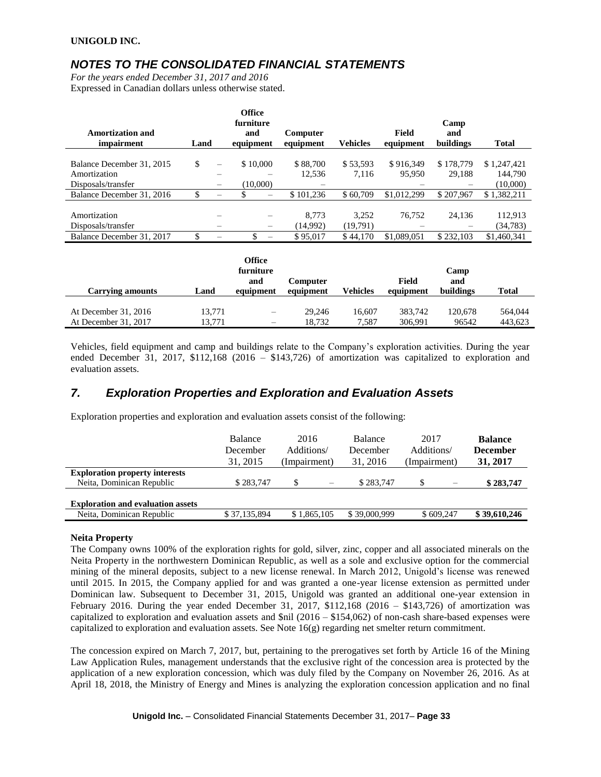# *NOTES TO THE CONSOLIDATED FINANCIAL STATEMENTS*

*For the years ended December 31, 2017 and 2016* Expressed in Canadian dollars unless otherwise stated.

| Amortization and<br>impairment | Land |                          | <b>Office</b><br>furniture<br>and<br>equipment | Computer<br>equipment | <b>Vehicles</b> | Field<br>equipment | Camp<br>and<br>buildings | <b>Total</b> |
|--------------------------------|------|--------------------------|------------------------------------------------|-----------------------|-----------------|--------------------|--------------------------|--------------|
|                                |      |                          |                                                |                       |                 |                    |                          |              |
| Balance December 31, 2015      | \$   | $\qquad \qquad -$        | \$10,000                                       | \$88,700              | \$53,593        | \$916,349          | \$178,779                | \$1,247,421  |
| Amortization                   |      |                          |                                                | 12.536                | 7.116           | 95,950             | 29.188                   | 144.790      |
| Disposals/transfer             |      | $\overline{\phantom{m}}$ | (10,000)                                       |                       |                 |                    |                          | (10,000)     |
| Balance December 31, 2016      |      | $\qquad \qquad -$        |                                                | \$101,236             | \$60,709        | \$1,012,299        | \$207,967                | \$1,382,211  |
|                                |      |                          |                                                |                       |                 |                    |                          |              |
| Amortization                   |      |                          |                                                | 8.773                 | 3.252           | 76.752             | 24.136                   | 112,913      |
| Disposals/transfer             |      |                          | $\qquad \qquad \longleftarrow$                 | (14.992)              | (19,791)        |                    |                          | (34,783)     |
| Balance December 31, 2017      | \$   |                          | \$                                             | \$95,017              | \$44,170        | \$1,089,051        | \$232,103                | \$1,460,341  |

|                        |        | Office<br>furniture |                       |          |                    | Camp             |              |
|------------------------|--------|---------------------|-----------------------|----------|--------------------|------------------|--------------|
| Carrving amounts       | Land   | and<br>equipment    | Computer<br>equipment | Vehicles | Field<br>equipment | and<br>buildings | <b>Total</b> |
| At December $31, 2016$ | 13,771 | -                   | 29.246                | 16.607   | 383.742            | 120.678          | 564,044      |
| At December 31, 2017   | 13.771 | —                   | 18.732                | 7.587    | 306.991            | 96542            | 443.623      |

Vehicles, field equipment and camp and buildings relate to the Company's exploration activities. During the year ended December 31, 2017, \$112,168 (2016 – \$143,726) of amortization was capitalized to exploration and evaluation assets.

# <span id="page-35-0"></span>*7. Exploration Properties and Exploration and Evaluation Assets*

Exploration properties and exploration and evaluation assets consist of the following:

|                                                                    | <b>Balance</b><br>December<br>31, 2015 | 2016<br>Additions/<br>(Impairment) | Balance<br>December<br>31, 2016 | 2017<br>Additions/<br>(Impairment) | <b>Balance</b><br><b>December</b><br>31, 2017 |
|--------------------------------------------------------------------|----------------------------------------|------------------------------------|---------------------------------|------------------------------------|-----------------------------------------------|
| <b>Exploration property interests</b><br>Neita, Dominican Republic | \$283,747                              | $\overline{\phantom{0}}$           | \$283,747                       | $\overline{\phantom{0}}$           | \$283,747                                     |
| <b>Exploration and evaluation assets</b>                           |                                        |                                    |                                 |                                    |                                               |
| Neita, Dominican Republic                                          | \$37,135,894                           | \$1,865,105                        | \$39,000,999                    | \$609,247                          | \$39,610,246                                  |

### **Neita Property**

The Company owns 100% of the exploration rights for gold, silver, zinc, copper and all associated minerals on the Neita Property in the northwestern Dominican Republic, as well as a sole and exclusive option for the commercial mining of the mineral deposits, subject to a new license renewal. In March 2012, Unigold's license was renewed until 2015. In 2015, the Company applied for and was granted a one-year license extension as permitted under Dominican law. Subsequent to December 31, 2015, Unigold was granted an additional one-year extension in February 2016. During the year ended December 31, 2017,  $$112,168$  (2016 –  $$143,726$ ) of amortization was capitalized to exploration and evaluation assets and \$nil (2016 – \$154,062) of non-cash share-based expenses were capitalized to exploration and evaluation assets. See Note  $16(g)$  regarding net smelter return commitment.

The concession expired on March 7, 2017, but, pertaining to the prerogatives set forth by Article 16 of the Mining Law Application Rules, management understands that the exclusive right of the concession area is protected by the application of a new exploration concession, which was duly filed by the Company on November 26, 2016. As at April 18, 2018, the Ministry of Energy and Mines is analyzing the exploration concession application and no final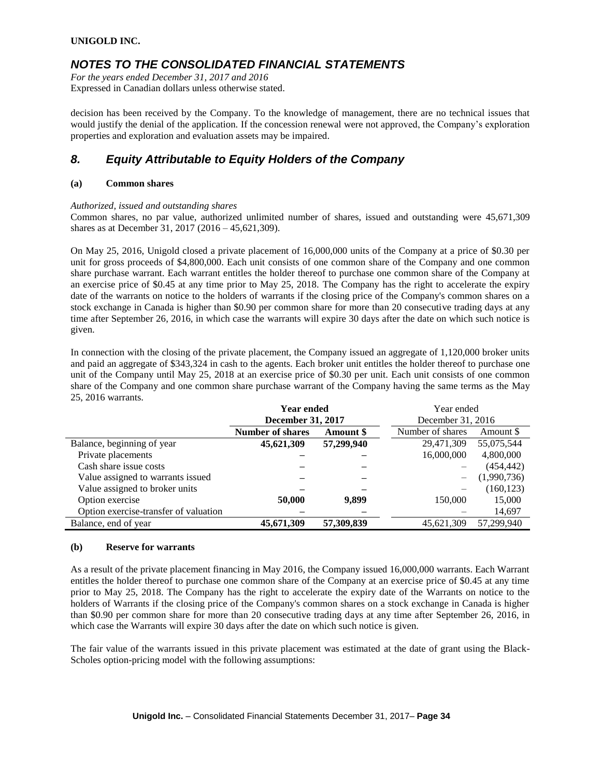# *NOTES TO THE CONSOLIDATED FINANCIAL STATEMENTS*

*For the years ended December 31, 2017 and 2016* Expressed in Canadian dollars unless otherwise stated.

decision has been received by the Company. To the knowledge of management, there are no technical issues that would justify the denial of the application. If the concession renewal were not approved, the Company's exploration properties and exploration and evaluation assets may be impaired.

# <span id="page-36-0"></span>*8. Equity Attributable to Equity Holders of the Company*

### **(a) Common shares**

### *Authorized, issued and outstanding shares*

Common shares, no par value, authorized unlimited number of shares, issued and outstanding were 45,671,309 shares as at December 31, 2017 (2016 – 45,621,309).

On May 25, 2016, Unigold closed a private placement of 16,000,000 units of the Company at a price of \$0.30 per unit for gross proceeds of \$4,800,000. Each unit consists of one common share of the Company and one common share purchase warrant. Each warrant entitles the holder thereof to purchase one common share of the Company at an exercise price of \$0.45 at any time prior to May 25, 2018. The Company has the right to accelerate the expiry date of the warrants on notice to the holders of warrants if the closing price of the Company's common shares on a stock exchange in Canada is higher than \$0.90 per common share for more than 20 consecutive trading days at any time after September 26, 2016, in which case the warrants will expire 30 days after the date on which such notice is given.

In connection with the closing of the private placement, the Company issued an aggregate of 1,120,000 broker units and paid an aggregate of \$343,324 in cash to the agents. Each broker unit entitles the holder thereof to purchase one unit of the Company until May 25, 2018 at an exercise price of \$0.30 per unit. Each unit consists of one common share of the Company and one common share purchase warrant of the Company having the same terms as the May 25, 2016 warrants.

|                                       | Year ended              |            | Year ended        |             |  |
|---------------------------------------|-------------------------|------------|-------------------|-------------|--|
|                                       | December 31, 2017       |            | December 31, 2016 |             |  |
|                                       | <b>Number of shares</b> | Amount \$  | Number of shares  | Amount \$   |  |
| Balance, beginning of year            | 45,621,309              | 57,299,940 | 29,471,309        | 55,075,544  |  |
| Private placements                    |                         |            | 16,000,000        | 4,800,000   |  |
| Cash share issue costs                |                         |            |                   | (454, 442)  |  |
| Value assigned to warrants issued     |                         |            |                   | (1,990,736) |  |
| Value assigned to broker units        |                         |            | -                 | (160, 123)  |  |
| Option exercise                       | 50,000                  | 9,899      | 150,000           | 15,000      |  |
| Option exercise-transfer of valuation |                         |            |                   | 14,697      |  |
| Balance, end of year                  | 45,671,309              | 57,309,839 | 45,621,309        | 57,299,940  |  |

### **(b) Reserve for warrants**

As a result of the private placement financing in May 2016, the Company issued 16,000,000 warrants. Each Warrant entitles the holder thereof to purchase one common share of the Company at an exercise price of \$0.45 at any time prior to May 25, 2018. The Company has the right to accelerate the expiry date of the Warrants on notice to the holders of Warrants if the closing price of the Company's common shares on a stock exchange in Canada is higher than \$0.90 per common share for more than 20 consecutive trading days at any time after September 26, 2016, in which case the Warrants will expire 30 days after the date on which such notice is given.

The fair value of the warrants issued in this private placement was estimated at the date of grant using the Black-Scholes option-pricing model with the following assumptions: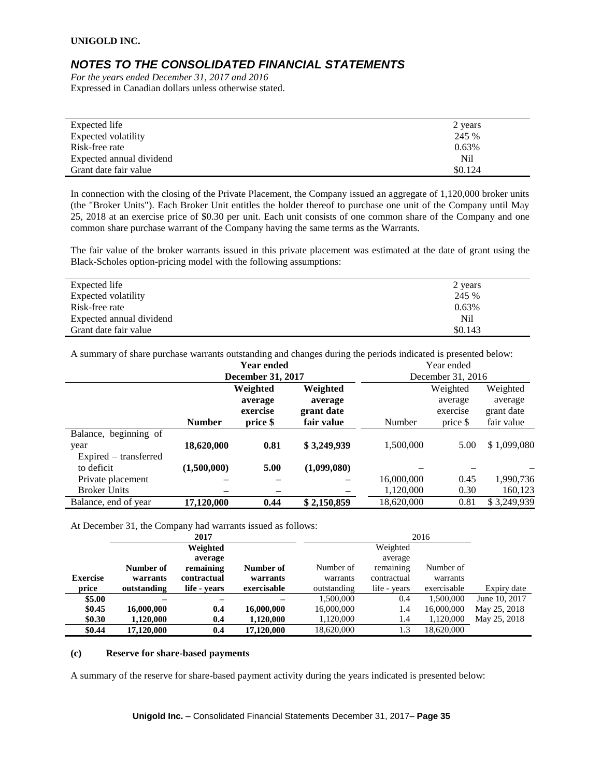# *NOTES TO THE CONSOLIDATED FINANCIAL STATEMENTS*

*For the years ended December 31, 2017 and 2016* Expressed in Canadian dollars unless otherwise stated.

| Expected life            | 2 years |
|--------------------------|---------|
| Expected volatility      | 245 %   |
| Risk-free rate           | 0.63%   |
| Expected annual dividend | Nil     |
| Grant date fair value    | \$0.124 |

In connection with the closing of the Private Placement, the Company issued an aggregate of 1,120,000 broker units (the "Broker Units"). Each Broker Unit entitles the holder thereof to purchase one unit of the Company until May 25, 2018 at an exercise price of \$0.30 per unit. Each unit consists of one common share of the Company and one common share purchase warrant of the Company having the same terms as the Warrants.

The fair value of the broker warrants issued in this private placement was estimated at the date of grant using the Black-Scholes option-pricing model with the following assumptions:

| Expected life            | 2 years |
|--------------------------|---------|
| Expected volatility      | 245 %   |
| Risk-free rate           | 0.63%   |
| Expected annual dividend | Nil     |
| Grant date fair value    | \$0.143 |

A summary of share purchase warrants outstanding and changes during the periods indicated is presented below:

|                         | <b>Year ended</b> |                   |             | Year ended |                   |             |  |
|-------------------------|-------------------|-------------------|-------------|------------|-------------------|-------------|--|
|                         |                   | December 31, 2017 |             |            | December 31, 2016 |             |  |
|                         |                   | Weighted          | Weighted    |            | Weighted          | Weighted    |  |
|                         |                   | average           | average     |            | average           | average     |  |
|                         |                   | exercise          | grant date  |            | exercise          | grant date  |  |
|                         | <b>Number</b>     | price \$          | fair value  | Number     | price \$          | fair value  |  |
| Balance, beginning of   |                   |                   |             |            |                   |             |  |
| year                    | 18,620,000        | 0.81              | \$3,249,939 | 1,500,000  | 5.00              | \$1,099,080 |  |
| $Existed - transferred$ |                   |                   |             |            |                   |             |  |
| to deficit              | (1,500,000)       | 5.00              | (1,099,080) |            |                   |             |  |
| Private placement       |                   |                   |             | 16,000,000 | 0.45              | 1,990,736   |  |
| <b>Broker Units</b>     |                   |                   |             | 1,120,000  | 0.30              | 160,123     |  |
| Balance, end of year    | 17,120,000        | 0.44              | \$2,150,859 | 18,620,000 | 0.81              | \$3,249,939 |  |

At December 31, the Company had warrants issued as follows:

|                 |             | 2017         |             |             |              | 2016        |               |
|-----------------|-------------|--------------|-------------|-------------|--------------|-------------|---------------|
|                 |             | Weighted     |             |             | Weighted     |             |               |
|                 |             | average      |             |             | average      |             |               |
|                 | Number of   | remaining    | Number of   | Number of   | remaining    | Number of   |               |
| <b>Exercise</b> | warrants    | contractual  | warrants    | warrants    | contractual  | warrants    |               |
| price           | outstanding | life - vears | exercisable | outstanding | life - years | exercisable | Expiry date   |
| \$5.00          |             |              |             | 1,500,000   | 0.4          | 1,500,000   | June 10, 2017 |
| \$0.45          | 16,000,000  | 0.4          | 16,000,000  | 16,000,000  | 1.4          | 16,000,000  | May 25, 2018  |
| \$0.30          | 1,120,000   | 0.4          | 1,120,000   | 1,120,000   | 1.4          | 1,120,000   | May 25, 2018  |
| \$0.44          | 17,120,000  | 0.4          | 17,120,000  | 18,620,000  | 1.3          | 18,620,000  |               |

### **(c) Reserve for share-based payments**

A summary of the reserve for share-based payment activity during the years indicated is presented below: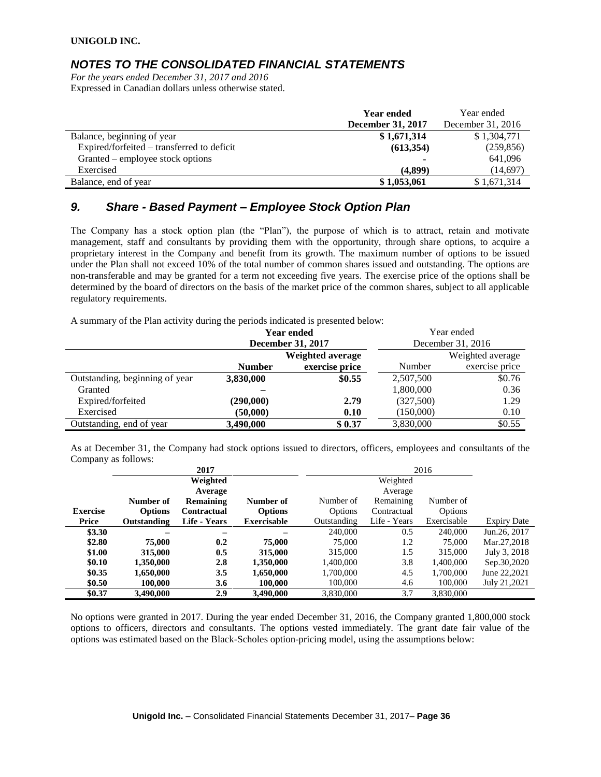# *NOTES TO THE CONSOLIDATED FINANCIAL STATEMENTS*

*For the years ended December 31, 2017 and 2016* Expressed in Canadian dollars unless otherwise stated.

|                                            | <b>Year ended</b>        | Year ended        |
|--------------------------------------------|--------------------------|-------------------|
|                                            | <b>December 31, 2017</b> | December 31, 2016 |
| Balance, beginning of year                 | \$1,671,314              | \$1,304,771       |
| Expired/forfeited – transferred to deficit | (613, 354)               | (259, 856)        |
| Granted – employee stock options           | -                        | 641,096           |
| Exercised                                  | (4.899)                  | (14, 697)         |
| Balance, end of year                       | \$1,053,061              | \$1,671,314       |

# <span id="page-38-0"></span>*9. Share - Based Payment – Employee Stock Option Plan*

The Company has a stock option plan (the "Plan"), the purpose of which is to attract, retain and motivate management, staff and consultants by providing them with the opportunity, through share options, to acquire a proprietary interest in the Company and benefit from its growth. The maximum number of options to be issued under the Plan shall not exceed 10% of the total number of common shares issued and outstanding. The options are non-transferable and may be granted for a term not exceeding five years. The exercise price of the options shall be determined by the board of directors on the basis of the market price of the common shares, subject to all applicable regulatory requirements.

A summary of the Plan activity during the periods indicated is presented below:

|                                | <b>Year ended</b>        |                | Year ended |                   |  |
|--------------------------------|--------------------------|----------------|------------|-------------------|--|
|                                | <b>December 31, 2017</b> |                |            | December 31, 2016 |  |
|                                | Weighted average         |                |            | Weighted average  |  |
|                                | <b>Number</b>            | exercise price | Number     | exercise price    |  |
| Outstanding, beginning of year | 3,830,000                | \$0.55         | 2,507,500  | \$0.76            |  |
| Granted                        |                          |                | 1,800,000  | 0.36              |  |
| Expired/forfeited              | (290,000)                | 2.79           | (327,500)  | 1.29              |  |
| Exercised                      | (50,000)                 | 0.10           | (150,000)  | 0.10              |  |
| Outstanding, end of year       | 3,490,000                | \$0.37         | 3,830,000  | \$0.55            |  |

As at December 31, the Company had stock options issued to directors, officers, employees and consultants of the Company as follows:

|                 |                    | 2017         |                    |             |              | 2016        |                    |
|-----------------|--------------------|--------------|--------------------|-------------|--------------|-------------|--------------------|
|                 |                    | Weighted     |                    |             | Weighted     |             |                    |
|                 |                    | Average      |                    |             | Average      |             |                    |
|                 | Number of          | Remaining    | Number of          | Number of   | Remaining    | Number of   |                    |
| <b>Exercise</b> | <b>Options</b>     | Contractual  | <b>Options</b>     | Options     | Contractual  | Options     |                    |
| Price           | <b>Outstanding</b> | Life - Years | <b>Exercisable</b> | Outstanding | Life - Years | Exercisable | <b>Expiry Date</b> |
| \$3.30          |                    |              |                    | 240,000     | 0.5          | 240,000     | Jun.26, 2017       |
| \$2.80          | 75,000             | 0.2          | 75,000             | 75,000      | 1.2          | 75,000      | Mar.27,2018        |
| \$1.00          | 315,000            | 0.5          | 315,000            | 315,000     | 1.5          | 315,000     | July 3, 2018       |
| \$0.10          | 1,350,000          | 2.8          | 1,350,000          | 1,400,000   | 3.8          | 1,400,000   | Sep.30,2020        |
| \$0.35          | 1,650,000          | 3.5          | 1,650,000          | 1,700,000   | 4.5          | 1,700,000   | June 22,2021       |
| \$0.50          | 100.000            | 3.6          | 100.000            | 100,000     | 4.6          | 100,000     | July 21,2021       |
| \$0.37          | 3.490.000          | 2.9          | 3.490.000          | 3,830,000   | 3.7          | 3.830,000   |                    |

No options were granted in 2017. During the year ended December 31, 2016, the Company granted 1,800,000 stock options to officers, directors and consultants. The options vested immediately. The grant date fair value of the options was estimated based on the Black-Scholes option-pricing model, using the assumptions below: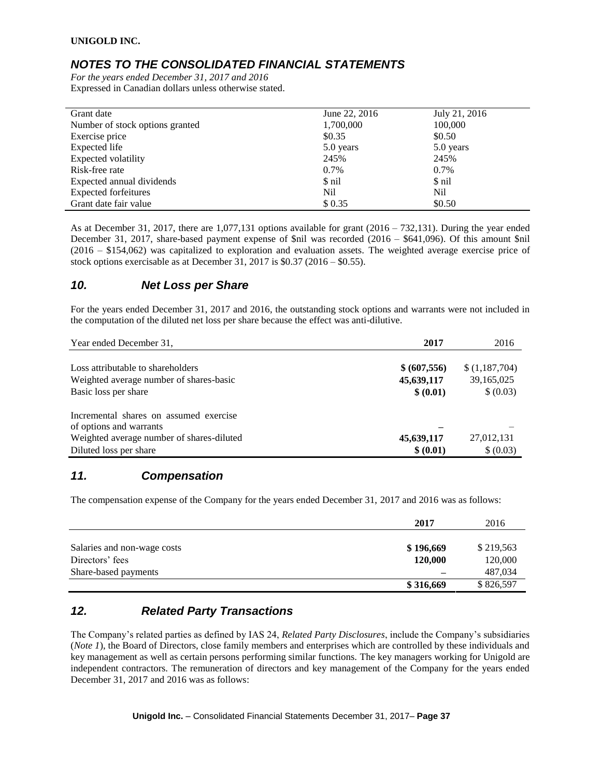# *NOTES TO THE CONSOLIDATED FINANCIAL STATEMENTS*

*For the years ended December 31, 2017 and 2016* Expressed in Canadian dollars unless otherwise stated.

| Grant date                      | June 22, 2016 | July 21, 2016 |
|---------------------------------|---------------|---------------|
| Number of stock options granted | 1,700,000     | 100,000       |
| Exercise price                  | \$0.35        | \$0.50        |
| Expected life                   | 5.0 years     | 5.0 years     |
| Expected volatility             | 245%          | 245%          |
| Risk-free rate                  | 0.7%          | 0.7%          |
| Expected annual dividends       | \$ nil        | \$ nil        |
| <b>Expected forfeitures</b>     | Nil           | Nil           |
| Grant date fair value           | \$0.35        | \$0.50        |

As at December 31, 2017, there are  $1,077,131$  options available for grant (2016 – 732,131). During the year ended December 31, 2017, share-based payment expense of \$nil was recorded (2016 – \$641,096). Of this amount \$nil (2016 – \$154,062) was capitalized to exploration and evaluation assets. The weighted average exercise price of stock options exercisable as at December 31, 2017 is \$0.37 (2016 – \$0.55).

# <span id="page-39-0"></span>*10. Net Loss per Share*

For the years ended December 31, 2017 and 2016, the outstanding stock options and warrants were not included in the computation of the diluted net loss per share because the effect was anti-dilutive.

| Year ended December 31,                   | 2017         | 2016          |
|-------------------------------------------|--------------|---------------|
|                                           |              |               |
| Loss attributable to shareholders         | \$ (607,556) | \$(1,187,704) |
| Weighted average number of shares-basic   | 45,639,117   | 39,165,025    |
| Basic loss per share                      | \$ (0.01)    | \$ (0.03)     |
| Incremental shares on assumed exercise    |              |               |
| of options and warrants                   |              |               |
| Weighted average number of shares-diluted | 45,639,117   | 27,012,131    |
| Diluted loss per share                    | \$ (0.01)    | \$ (0.03)     |

# <span id="page-39-1"></span>*11. Compensation*

The compensation expense of the Company for the years ended December 31, 2017 and 2016 was as follows:

|                             | 2017      | 2016      |
|-----------------------------|-----------|-----------|
|                             |           |           |
| Salaries and non-wage costs | \$196,669 | \$219,563 |
| Directors' fees             | 120,000   | 120,000   |
| Share-based payments        |           | 487,034   |
|                             | \$316,669 | \$826,597 |

# <span id="page-39-2"></span>*12. Related Party Transactions*

The Company's related parties as defined by IAS 24, *Related Party Disclosures*, include the Company's subsidiaries (*Note 1*), the Board of Directors, close family members and enterprises which are controlled by these individuals and key management as well as certain persons performing similar functions. The key managers working for Unigold are independent contractors. The remuneration of directors and key management of the Company for the years ended December 31, 2017 and 2016 was as follows: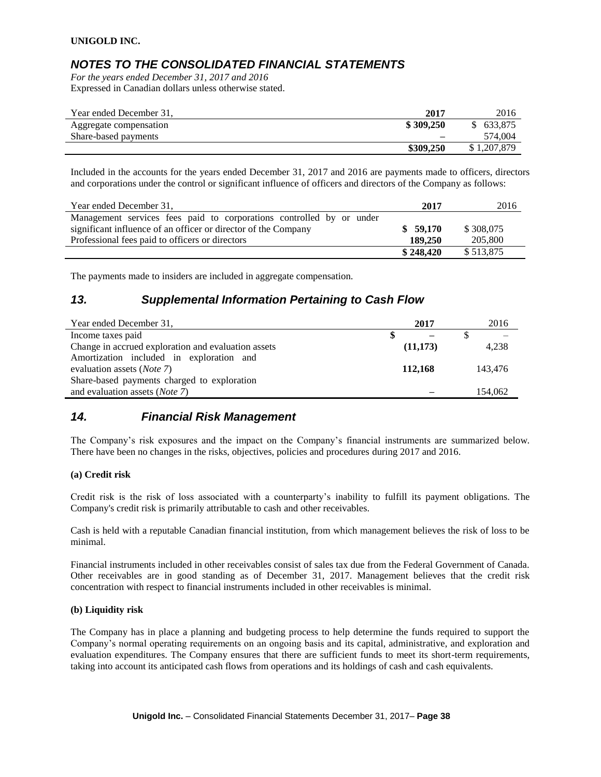# *NOTES TO THE CONSOLIDATED FINANCIAL STATEMENTS*

*For the years ended December 31, 2017 and 2016* Expressed in Canadian dollars unless otherwise stated.

| Year ended December 31, | 2017                     | 2016        |
|-------------------------|--------------------------|-------------|
| Aggregate compensation  | \$309,250                | 633,875     |
| Share-based payments    | $\overline{\phantom{0}}$ | 574,004     |
|                         | \$309,250                | \$1,207,879 |

Included in the accounts for the years ended December 31, 2017 and 2016 are payments made to officers, directors and corporations under the control or significant influence of officers and directors of the Company as follows:

| Year ended December 31,                                              | 2017      | 2016      |
|----------------------------------------------------------------------|-----------|-----------|
| Management services fees paid to corporations controlled by or under |           |           |
| significant influence of an officer or director of the Company       | \$59,170  | \$308,075 |
| Professional fees paid to officers or directors                      | 189,250   | 205,800   |
|                                                                      | \$248,420 | \$513,875 |

The payments made to insiders are included in aggregate compensation.

# <span id="page-40-0"></span>*13. Supplemental Information Pertaining to Cash Flow*

| Year ended December 31,                             | 2017      | 2016    |
|-----------------------------------------------------|-----------|---------|
| Income taxes paid                                   |           |         |
| Change in accrued exploration and evaluation assets | (11, 173) | 4,238   |
| Amortization included in exploration and            |           |         |
| evaluation assets ( <i>Note</i> 7)                  | 112,168   | 143,476 |
| Share-based payments charged to exploration         |           |         |
| and evaluation assets ( <i>Note</i> 7)              |           | 154,062 |

# <span id="page-40-1"></span>*14. Financial Risk Management*

The Company's risk exposures and the impact on the Company's financial instruments are summarized below. There have been no changes in the risks, objectives, policies and procedures during 2017 and 2016.

### **(a) Credit risk**

Credit risk is the risk of loss associated with a counterparty's inability to fulfill its payment obligations. The Company's credit risk is primarily attributable to cash and other receivables.

Cash is held with a reputable Canadian financial institution, from which management believes the risk of loss to be minimal.

Financial instruments included in other receivables consist of sales tax due from the Federal Government of Canada. Other receivables are in good standing as of December 31, 2017. Management believes that the credit risk concentration with respect to financial instruments included in other receivables is minimal.

### **(b) Liquidity risk**

The Company has in place a planning and budgeting process to help determine the funds required to support the Company's normal operating requirements on an ongoing basis and its capital, administrative, and exploration and evaluation expenditures. The Company ensures that there are sufficient funds to meet its short-term requirements, taking into account its anticipated cash flows from operations and its holdings of cash and cash equivalents.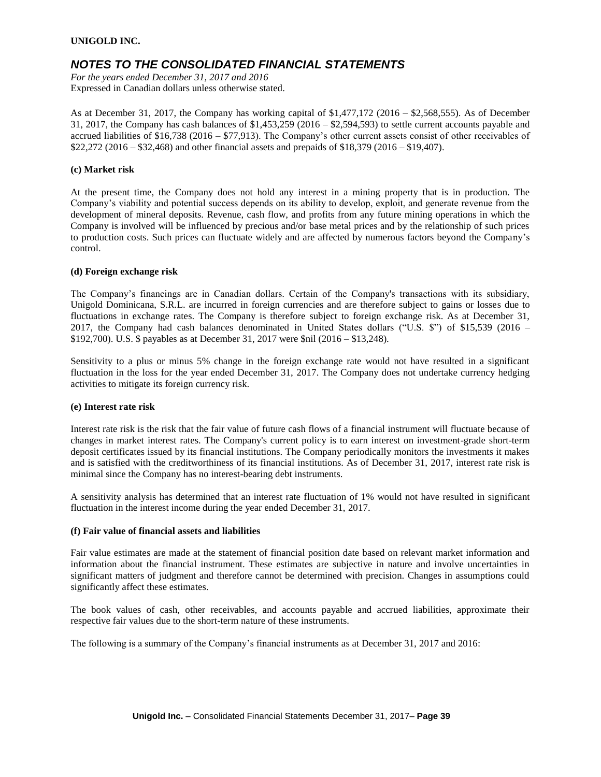# *NOTES TO THE CONSOLIDATED FINANCIAL STATEMENTS*

*For the years ended December 31, 2017 and 2016* Expressed in Canadian dollars unless otherwise stated.

As at December 31, 2017, the Company has working capital of \$1,477,172 (2016 – \$2,568,555). As of December 31, 2017, the Company has cash balances of \$1,453,259 (2016 – \$2,594,593) to settle current accounts payable and accrued liabilities of \$16,738 (2016 – \$77,913). The Company's other current assets consist of other receivables of \$22,272 (2016 – \$32,468) and other financial assets and prepaids of \$18,379 (2016 – \$19,407).

#### **(c) Market risk**

At the present time, the Company does not hold any interest in a mining property that is in production. The Company's viability and potential success depends on its ability to develop, exploit, and generate revenue from the development of mineral deposits. Revenue, cash flow, and profits from any future mining operations in which the Company is involved will be influenced by precious and/or base metal prices and by the relationship of such prices to production costs. Such prices can fluctuate widely and are affected by numerous factors beyond the Company's control.

#### **(d) Foreign exchange risk**

The Company's financings are in Canadian dollars. Certain of the Company's transactions with its subsidiary, Unigold Dominicana, S.R.L. are incurred in foreign currencies and are therefore subject to gains or losses due to fluctuations in exchange rates. The Company is therefore subject to foreign exchange risk. As at December 31, 2017, the Company had cash balances denominated in United States dollars ("U.S. \$") of \$15,539 (2016 – \$192,700). U.S. \$ payables as at December 31, 2017 were \$nil (2016 – \$13,248).

Sensitivity to a plus or minus 5% change in the foreign exchange rate would not have resulted in a significant fluctuation in the loss for the year ended December 31, 2017. The Company does not undertake currency hedging activities to mitigate its foreign currency risk.

#### **(e) Interest rate risk**

Interest rate risk is the risk that the fair value of future cash flows of a financial instrument will fluctuate because of changes in market interest rates. The Company's current policy is to earn interest on investment-grade short-term deposit certificates issued by its financial institutions. The Company periodically monitors the investments it makes and is satisfied with the creditworthiness of its financial institutions. As of December 31, 2017, interest rate risk is minimal since the Company has no interest-bearing debt instruments.

A sensitivity analysis has determined that an interest rate fluctuation of 1% would not have resulted in significant fluctuation in the interest income during the year ended December 31, 2017.

#### **(f) Fair value of financial assets and liabilities**

Fair value estimates are made at the statement of financial position date based on relevant market information and information about the financial instrument. These estimates are subjective in nature and involve uncertainties in significant matters of judgment and therefore cannot be determined with precision. Changes in assumptions could significantly affect these estimates.

The book values of cash, other receivables, and accounts payable and accrued liabilities, approximate their respective fair values due to the short-term nature of these instruments.

The following is a summary of the Company's financial instruments as at December 31, 2017 and 2016: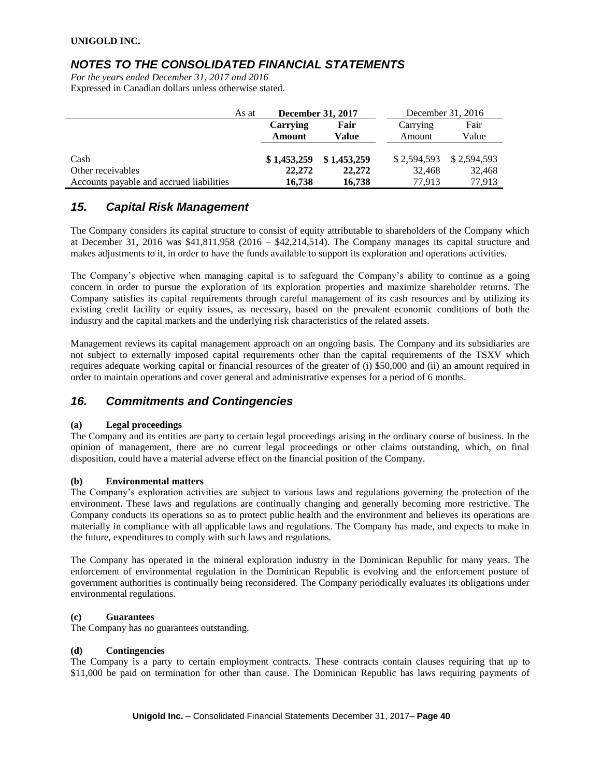# *NOTES TO THE CONSOLIDATED FINANCIAL STATEMENTS*

*For the years ended December 31, 2017 and 2016* Expressed in Canadian dollars unless otherwise stated.

|                                          | As at | <b>December 31, 2017</b> |             |             | December 31, 2016 |
|------------------------------------------|-------|--------------------------|-------------|-------------|-------------------|
|                                          |       | Carrying                 | Fair        | Carrying    | Fair              |
|                                          |       | Amount                   | Value       | Amount      | Value             |
|                                          |       |                          |             |             |                   |
| Cash                                     |       | \$1,453,259              | \$1,453,259 | \$2,594,593 | \$2,594,593       |
| Other receivables                        |       | 22,272                   | 22,272      | 32.468      | 32,468            |
| Accounts payable and accrued liabilities |       | 16,738                   | 16,738      | 77.913      | 77.913            |

# <span id="page-42-0"></span>*15. Capital Risk Management*

The Company considers its capital structure to consist of equity attributable to shareholders of the Company which at December 31, 2016 was \$41,811,958 (2016 – \$42,214,514). The Company manages its capital structure and makes adjustments to it, in order to have the funds available to support its exploration and operations activities.

The Company's objective when managing capital is to safeguard the Company's ability to continue as a going concern in order to pursue the exploration of its exploration properties and maximize shareholder returns. The Company satisfies its capital requirements through careful management of its cash resources and by utilizing its existing credit facility or equity issues, as necessary, based on the prevalent economic conditions of both the industry and the capital markets and the underlying risk characteristics of the related assets.

Management reviews its capital management approach on an ongoing basis. The Company and its subsidiaries are not subject to externally imposed capital requirements other than the capital requirements of the TSXV which requires adequate working capital or financial resources of the greater of (i) \$50,000 and (ii) an amount required in order to maintain operations and cover general and administrative expenses for a period of 6 months.

# <span id="page-42-1"></span>*16. Commitments and Contingencies*

### **(a) Legal proceedings**

The Company and its entities are party to certain legal proceedings arising in the ordinary course of business. In the opinion of management, there are no current legal proceedings or other claims outstanding, which, on final disposition, could have a material adverse effect on the financial position of the Company.

### **(b) Environmental matters**

The Company's exploration activities are subject to various laws and regulations governing the protection of the environment. These laws and regulations are continually changing and generally becoming more restrictive. The Company conducts its operations so as to protect public health and the environment and believes its operations are materially in compliance with all applicable laws and regulations. The Company has made, and expects to make in the future, expenditures to comply with such laws and regulations.

The Company has operated in the mineral exploration industry in the Dominican Republic for many years. The enforcement of environmental regulation in the Dominican Republic is evolving and the enforcement posture of government authorities is continually being reconsidered. The Company periodically evaluates its obligations under environmental regulations.

### **(c) Guarantees**

The Company has no guarantees outstanding.

### **(d) Contingencies**

The Company is a party to certain employment contracts. These contracts contain clauses requiring that up to \$11,000 be paid on termination for other than cause. The Dominican Republic has laws requiring payments of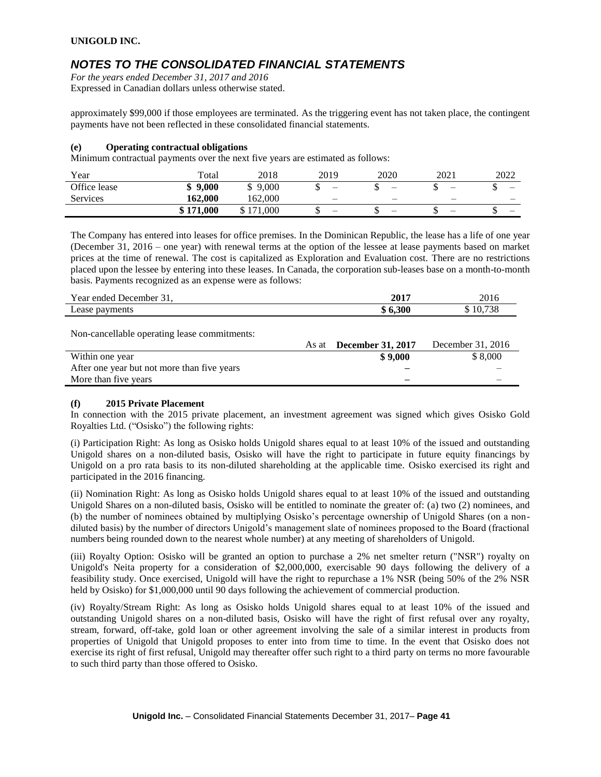# *NOTES TO THE CONSOLIDATED FINANCIAL STATEMENTS*

*For the years ended December 31, 2017 and 2016* Expressed in Canadian dollars unless otherwise stated.

approximately \$99,000 if those employees are terminated. As the triggering event has not taken place, the contingent payments have not been reflected in these consolidated financial statements.

### **(e) Operating contractual obligations**

Minimum contractual payments over the next five years are estimated as follows:

| Year         | Total          | 2018                 | 2019 | 2020                     | 2021                     | 2022    |
|--------------|----------------|----------------------|------|--------------------------|--------------------------|---------|
| Office lease | 9,000<br>ง     | 9,000<br>◡           |      | $\overline{\phantom{a}}$ | _                        | –<br>ш  |
| Services     | <b>162.000</b> | 162.000              |      |                          | $\overline{\phantom{a}}$ |         |
|              | \$171,000      | .000<br><b>ሶ</b> 171 | _    |                          | –                        | —<br>ыJ |

The Company has entered into leases for office premises. In the Dominican Republic, the lease has a life of one year (December 31, 2016 – one year) with renewal terms at the option of the lessee at lease payments based on market prices at the time of renewal. The cost is capitalized as Exploration and Evaluation cost. There are no restrictions placed upon the lessee by entering into these leases. In Canada, the corporation sub-leases base on a month-to-month basis. Payments recognized as an expense were as follows:

| Year ended<br>December<br>J1. | 2017  | 2016                                            |
|-------------------------------|-------|-------------------------------------------------|
| $\text{case}$ .<br>payments   | 6.300 | 700<br>$\Omega$<br>$\mathbf{u}$<br>. O C<br>دا، |

Non-cancellable operating lease commitments:

|                                             | As at | <b>December 31, 2017</b> | December 31, 2016 |
|---------------------------------------------|-------|--------------------------|-------------------|
| Within one year                             |       | \$9,000                  | \$8,000           |
| After one year but not more than five years |       | -                        |                   |
| More than five years                        |       | -                        |                   |

### **(f) 2015 Private Placement**

In connection with the 2015 private placement, an investment agreement was signed which gives Osisko Gold Royalties Ltd. ("Osisko") the following rights:

(i) Participation Right: As long as Osisko holds Unigold shares equal to at least 10% of the issued and outstanding Unigold shares on a non-diluted basis, Osisko will have the right to participate in future equity financings by Unigold on a pro rata basis to its non-diluted shareholding at the applicable time. Osisko exercised its right and participated in the 2016 financing.

(ii) Nomination Right: As long as Osisko holds Unigold shares equal to at least 10% of the issued and outstanding Unigold Shares on a non-diluted basis, Osisko will be entitled to nominate the greater of: (a) two (2) nominees, and (b) the number of nominees obtained by multiplying Osisko's percentage ownership of Unigold Shares (on a nondiluted basis) by the number of directors Unigold's management slate of nominees proposed to the Board (fractional numbers being rounded down to the nearest whole number) at any meeting of shareholders of Unigold.

(iii) Royalty Option: Osisko will be granted an option to purchase a 2% net smelter return ("NSR") royalty on Unigold's Neita property for a consideration of \$2,000,000, exercisable 90 days following the delivery of a feasibility study. Once exercised, Unigold will have the right to repurchase a 1% NSR (being 50% of the 2% NSR held by Osisko) for \$1,000,000 until 90 days following the achievement of commercial production.

(iv) Royalty/Stream Right: As long as Osisko holds Unigold shares equal to at least 10% of the issued and outstanding Unigold shares on a non-diluted basis, Osisko will have the right of first refusal over any royalty, stream, forward, off-take, gold loan or other agreement involving the sale of a similar interest in products from properties of Unigold that Unigold proposes to enter into from time to time. In the event that Osisko does not exercise its right of first refusal, Unigold may thereafter offer such right to a third party on terms no more favourable to such third party than those offered to Osisko.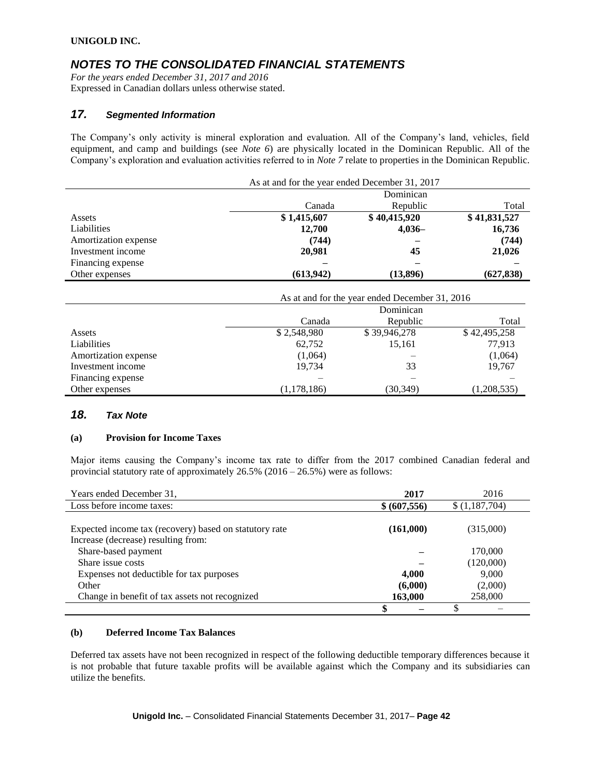# *NOTES TO THE CONSOLIDATED FINANCIAL STATEMENTS*

*For the years ended December 31, 2017 and 2016* Expressed in Canadian dollars unless otherwise stated.

### <span id="page-44-0"></span>*17. Segmented Information*

The Company's only activity is mineral exploration and evaluation. All of the Company's land, vehicles, field equipment, and camp and buildings (see *Note 6*) are physically located in the Dominican Republic. All of the Company's exploration and evaluation activities referred to in *Note 7* relate to properties in the Dominican Republic.

|                      | As at and for the year ended December 31, 2017 |              |              |
|----------------------|------------------------------------------------|--------------|--------------|
|                      |                                                | Dominican    |              |
|                      | Canada                                         | Republic     | Total        |
| Assets               | \$1,415,607                                    | \$40,415,920 | \$41,831,527 |
| Liabilities          | 12,700                                         | $4,036-$     | 16,736       |
| Amortization expense | (744)                                          |              | (744)        |
| Investment income    | 20,981                                         | 45           | 21,026       |
| Financing expense    |                                                |              |              |
| Other expenses       | (613, 942)                                     | (13,896)     | (627, 838)   |
|                      |                                                |              |              |

|                      |             | As at and for the year ended December 31, 2016 |              |
|----------------------|-------------|------------------------------------------------|--------------|
|                      |             | Dominican                                      |              |
|                      | Canada      | Republic                                       | Total        |
| Assets               | \$2,548,980 | \$39,946,278                                   | \$42,495,258 |
| Liabilities          | 62,752      | 15,161                                         | 77,913       |
| Amortization expense | (1,064)     |                                                | (1,064)      |
| Investment income    | 19.734      | 33                                             | 19,767       |
| Financing expense    |             |                                                |              |
| Other expenses       | (1,178,186) | (30, 349)                                      | (1,208,535)  |

### <span id="page-44-1"></span>*18. Tax Note*

### **(a) Provision for Income Taxes**

Major items causing the Company's income tax rate to differ from the 2017 combined Canadian federal and provincial statutory rate of approximately 26.5% (2016 – 26.5%) were as follows:

| Years ended December 31,                               | 2017         | 2016          |
|--------------------------------------------------------|--------------|---------------|
| Loss before income taxes:                              | \$ (607,556) | \$(1,187,704) |
|                                                        |              |               |
| Expected income tax (recovery) based on statutory rate | (161,000)    | (315,000)     |
| Increase (decrease) resulting from:                    |              |               |
| Share-based payment                                    |              | 170,000       |
| Share issue costs                                      |              | (120,000)     |
| Expenses not deductible for tax purposes               | 4.000        | 9.000         |
| Other                                                  | (6,000)      | (2,000)       |
| Change in benefit of tax assets not recognized         | 163,000      | 258,000       |
|                                                        | \$           |               |

#### **(b) Deferred Income Tax Balances**

Deferred tax assets have not been recognized in respect of the following deductible temporary differences because it is not probable that future taxable profits will be available against which the Company and its subsidiaries can utilize the benefits.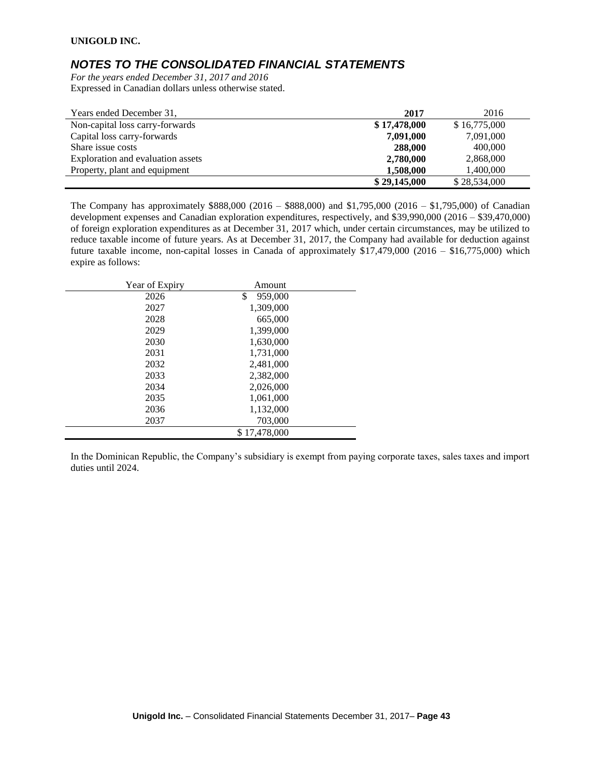# *NOTES TO THE CONSOLIDATED FINANCIAL STATEMENTS*

*For the years ended December 31, 2017 and 2016* Expressed in Canadian dollars unless otherwise stated.

| Years ended December 31,          | 2017         | 2016         |
|-----------------------------------|--------------|--------------|
| Non-capital loss carry-forwards   | \$17,478,000 | \$16,775,000 |
| Capital loss carry-forwards       | 7,091,000    | 7,091,000    |
| Share issue costs                 | 288,000      | 400,000      |
| Exploration and evaluation assets | 2,780,000    | 2,868,000    |
| Property, plant and equipment     | 1,508,000    | 1,400,000    |
|                                   | \$29,145,000 | \$28,534,000 |

The Company has approximately \$888,000 (2016 – \$888,000) and \$1,795,000 (2016 – \$1,795,000) of Canadian development expenses and Canadian exploration expenditures, respectively, and \$39,990,000 (2016 – \$39,470,000) of foreign exploration expenditures as at December 31, 2017 which, under certain circumstances, may be utilized to reduce taxable income of future years. As at December 31, 2017, the Company had available for deduction against future taxable income, non-capital losses in Canada of approximately  $$17,479,000$  (2016 – \$16,775,000) which expire as follows:

| Year of Expiry | Amount        |  |
|----------------|---------------|--|
| 2026           | \$<br>959,000 |  |
| 2027           | 1,309,000     |  |
| 2028           | 665,000       |  |
| 2029           | 1,399,000     |  |
| 2030           | 1,630,000     |  |
| 2031           | 1,731,000     |  |
| 2032           | 2,481,000     |  |
| 2033           | 2,382,000     |  |
| 2034           | 2,026,000     |  |
| 2035           | 1,061,000     |  |
| 2036           | 1,132,000     |  |
| 2037           | 703,000       |  |
|                | \$17,478,000  |  |

In the Dominican Republic, the Company's subsidiary is exempt from paying corporate taxes, sales taxes and import duties until 2024.